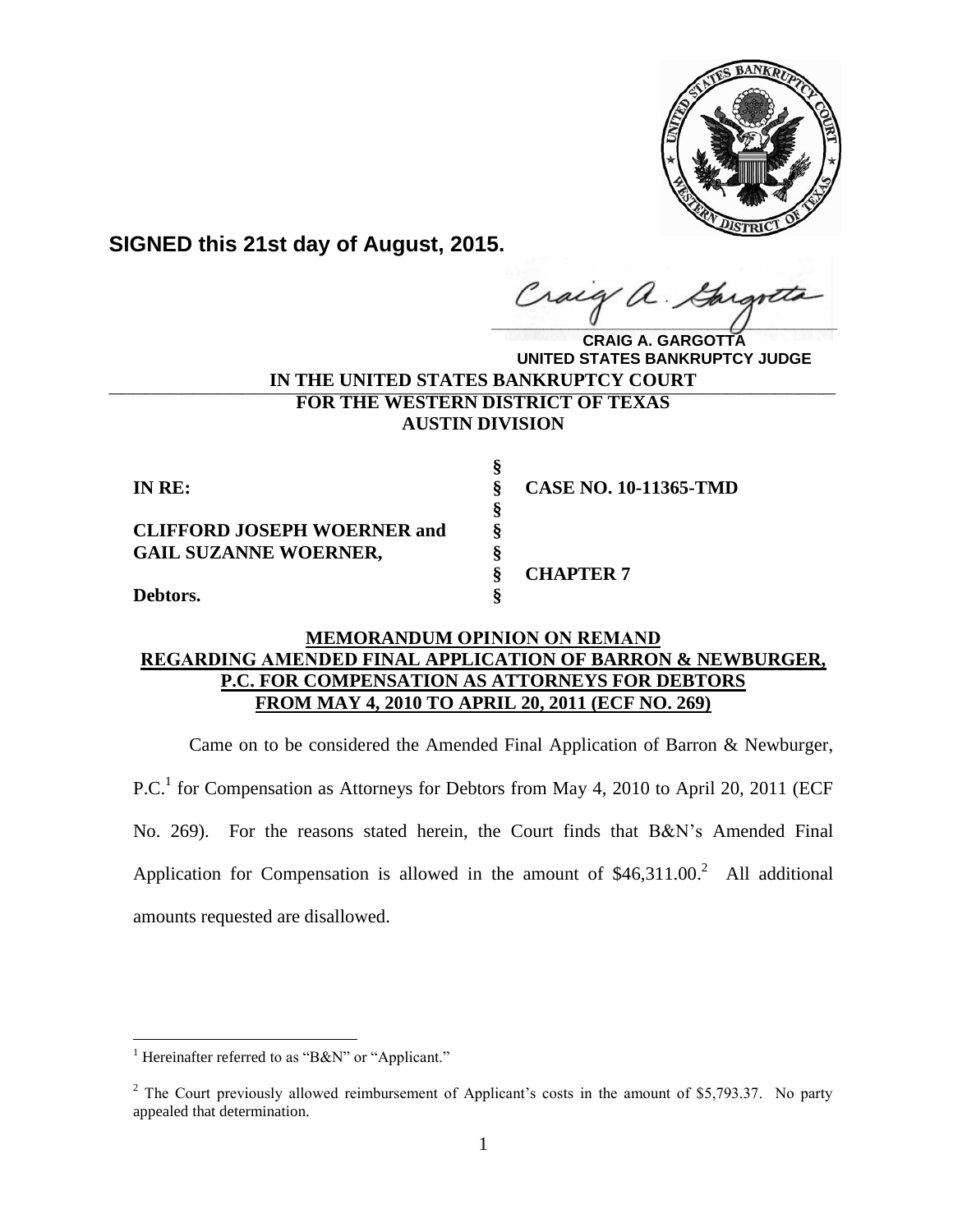

**SIGNED this 21st day of August, 2015.**

**\_\_\_\_\_\_\_\_\_\_\_\_\_\_\_\_\_\_\_\_\_\_\_\_\_\_\_\_\_\_\_\_\_\_\_\_\_\_\_\_**  $\hat{a}$ .

**IN THE UNITED STATES BANKRUPTCY COURT \_\_\_\_\_\_\_\_\_\_\_\_\_\_\_\_\_\_\_\_\_\_\_\_\_\_\_\_\_\_\_\_\_\_\_\_\_\_\_\_\_\_\_\_\_\_\_\_\_\_\_\_\_\_\_\_\_\_\_\_FOR THE WESTERN DISTRICT OF TEXAS AUSTIN DIVISION CRAIG A. GARGOTTA UNITED STATES BANKRUPTCY JUDGE**

| IN RE:                             |   | <b>CASE NO. 10-11365-TMD</b> |
|------------------------------------|---|------------------------------|
|                                    | Ò |                              |
| <b>CLIFFORD JOSEPH WOERNER and</b> |   |                              |
| <b>GAIL SUZANNE WOERNER,</b>       |   |                              |
|                                    |   | <b>CHAPTER 7</b>             |
| Debtors.                           |   |                              |

# **MEMORANDUM OPINION ON REMAND REGARDING AMENDED FINAL APPLICATION OF BARRON & NEWBURGER, P.C. FOR COMPENSATION AS ATTORNEYS FOR DEBTORS FROM MAY 4, 2010 TO APRIL 20, 2011 (ECF NO. 269)**

Came on to be considered the Amended Final Application of Barron & Newburger,

P.C.<sup>1</sup> for Compensation as Attorneys for Debtors from May 4, 2010 to April 20, 2011 (ECF No. 269). For the reasons stated herein, the Court finds that B&N's Amended Final Application for Compensation is allowed in the amount of  $$46,311.00$ <sup>2</sup> All additional amounts requested are disallowed.

<sup>&</sup>lt;sup>1</sup> Hereinafter referred to as "B&N" or "Applicant."

<sup>&</sup>lt;sup>2</sup> The Court previously allowed reimbursement of Applicant's costs in the amount of \$5,793.37. No party appealed that determination.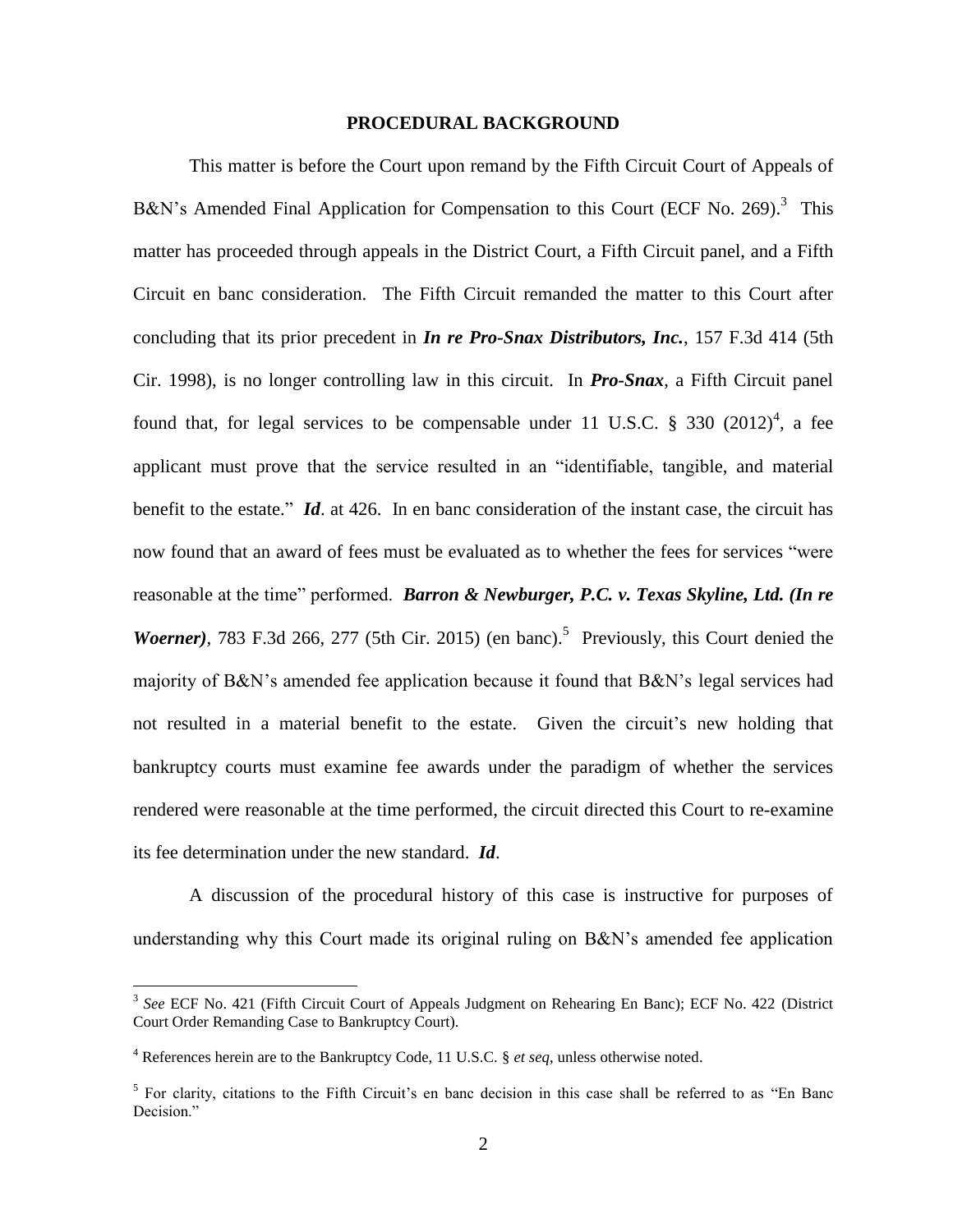### **PROCEDURAL BACKGROUND**

This matter is before the Court upon remand by the Fifth Circuit Court of Appeals of B&N's Amended Final Application for Compensation to this Court (ECF No. 269).<sup>3</sup> This matter has proceeded through appeals in the District Court, a Fifth Circuit panel, and a Fifth Circuit en banc consideration. The Fifth Circuit remanded the matter to this Court after concluding that its prior precedent in *In re Pro-Snax Distributors, Inc.*, 157 F.3d 414 (5th Cir. 1998), is no longer controlling law in this circuit. In *Pro-Snax*, a Fifth Circuit panel found that, for legal services to be compensable under 11 U.S.C.  $\S$  330 (2012)<sup>4</sup>, a fee applicant must prove that the service resulted in an "identifiable, tangible, and material benefit to the estate." *Id*. at 426. In en banc consideration of the instant case, the circuit has now found that an award of fees must be evaluated as to whether the fees for services "were reasonable at the time" performed. *Barron & Newburger, P.C. v. Texas Skyline, Ltd. (In re*  Woerner), 783 F.3d 266, 277 (5th Cir. 2015) (en banc).<sup>5</sup> Previously, this Court denied the majority of B&N's amended fee application because it found that B&N's legal services had not resulted in a material benefit to the estate. Given the circuit's new holding that bankruptcy courts must examine fee awards under the paradigm of whether the services rendered were reasonable at the time performed, the circuit directed this Court to re-examine its fee determination under the new standard. *Id*.

A discussion of the procedural history of this case is instructive for purposes of understanding why this Court made its original ruling on B&N's amended fee application

<sup>&</sup>lt;sup>3</sup> See ECF No. 421 (Fifth Circuit Court of Appeals Judgment on Rehearing En Banc); ECF No. 422 (District Court Order Remanding Case to Bankruptcy Court).

<sup>4</sup> References herein are to the Bankruptcy Code, 11 U.S.C. § *et seq*, unless otherwise noted.

<sup>&</sup>lt;sup>5</sup> For clarity, citations to the Fifth Circuit's en banc decision in this case shall be referred to as "En Banc Decision."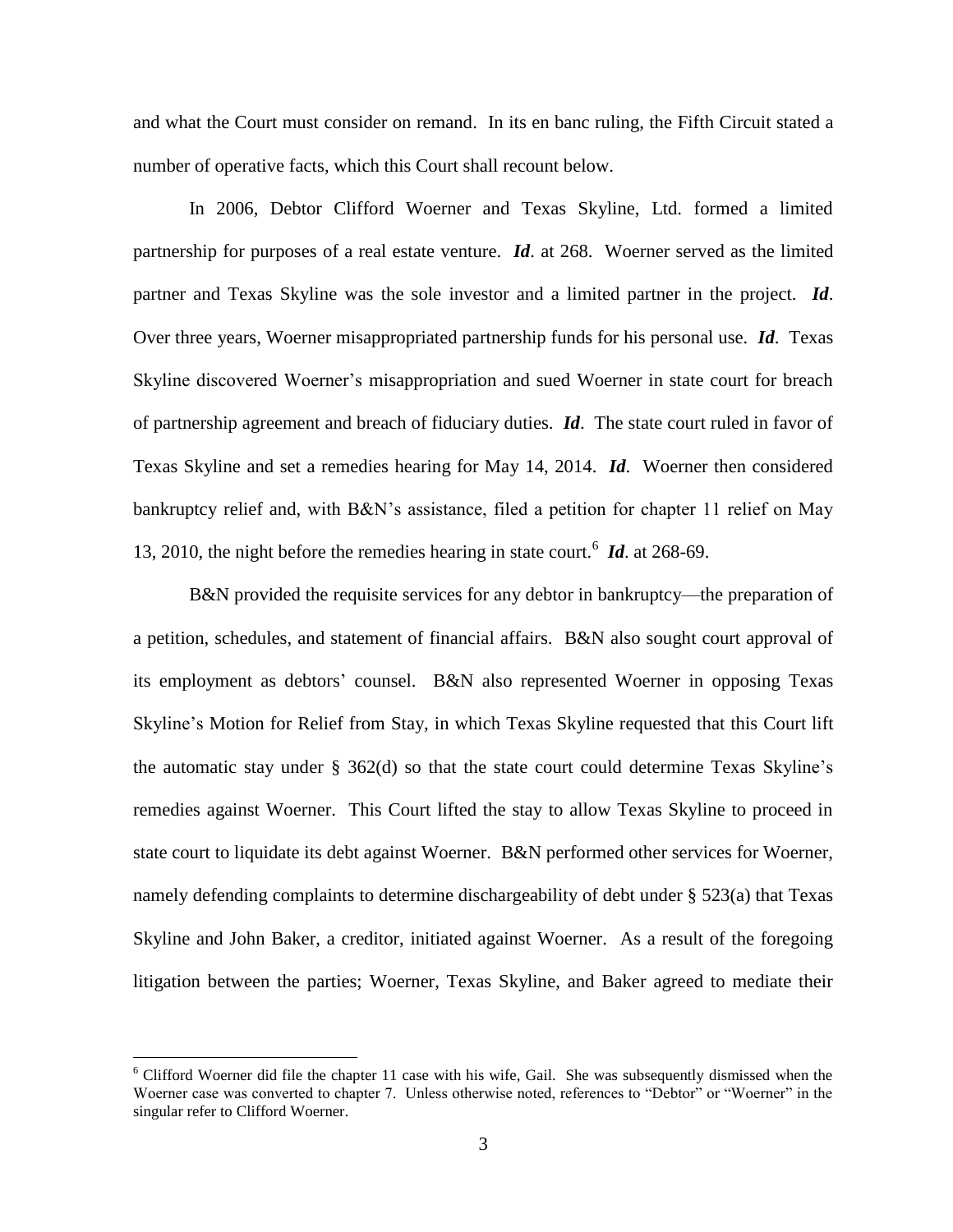and what the Court must consider on remand. In its en banc ruling, the Fifth Circuit stated a number of operative facts, which this Court shall recount below.

In 2006, Debtor Clifford Woerner and Texas Skyline, Ltd. formed a limited partnership for purposes of a real estate venture. *Id*. at 268. Woerner served as the limited partner and Texas Skyline was the sole investor and a limited partner in the project. *Id*. Over three years, Woerner misappropriated partnership funds for his personal use. *Id*. Texas Skyline discovered Woerner's misappropriation and sued Woerner in state court for breach of partnership agreement and breach of fiduciary duties. *Id*. The state court ruled in favor of Texas Skyline and set a remedies hearing for May 14, 2014. *Id*. Woerner then considered bankruptcy relief and, with B&N's assistance, filed a petition for chapter 11 relief on May 13, 2010, the night before the remedies hearing in state court.<sup>6</sup> *Id*. at 268-69.

B&N provided the requisite services for any debtor in bankruptcy—the preparation of a petition, schedules, and statement of financial affairs. B&N also sought court approval of its employment as debtors' counsel. B&N also represented Woerner in opposing Texas Skyline's Motion for Relief from Stay, in which Texas Skyline requested that this Court lift the automatic stay under § 362(d) so that the state court could determine Texas Skyline's remedies against Woerner. This Court lifted the stay to allow Texas Skyline to proceed in state court to liquidate its debt against Woerner. B&N performed other services for Woerner, namely defending complaints to determine dischargeability of debt under § 523(a) that Texas Skyline and John Baker, a creditor, initiated against Woerner. As a result of the foregoing litigation between the parties; Woerner, Texas Skyline, and Baker agreed to mediate their

 $6$  Clifford Woerner did file the chapter 11 case with his wife, Gail. She was subsequently dismissed when the Woerner case was converted to chapter 7. Unless otherwise noted, references to "Debtor" or "Woerner" in the singular refer to Clifford Woerner.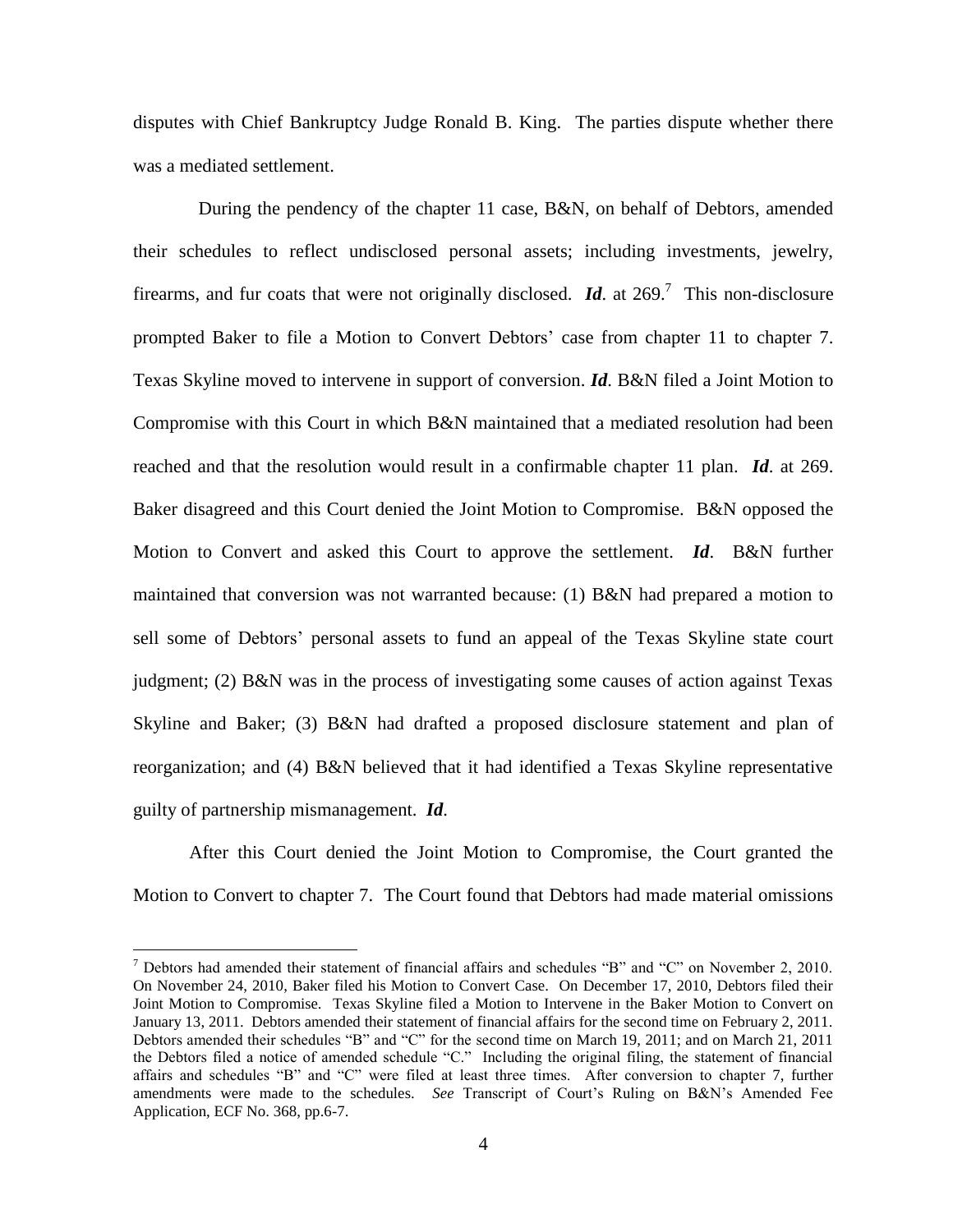disputes with Chief Bankruptcy Judge Ronald B. King. The parties dispute whether there was a mediated settlement.

During the pendency of the chapter 11 case, B&N, on behalf of Debtors, amended their schedules to reflect undisclosed personal assets; including investments, jewelry, firearms, and fur coats that were not originally disclosed.  $\mathbf{Id}$  at 269.<sup>7</sup> This non-disclosure prompted Baker to file a Motion to Convert Debtors' case from chapter 11 to chapter 7. Texas Skyline moved to intervene in support of conversion. *Id*. B&N filed a Joint Motion to Compromise with this Court in which B&N maintained that a mediated resolution had been reached and that the resolution would result in a confirmable chapter 11 plan. *Id*. at 269. Baker disagreed and this Court denied the Joint Motion to Compromise. B&N opposed the Motion to Convert and asked this Court to approve the settlement. *Id*. B&N further maintained that conversion was not warranted because: (1) B&N had prepared a motion to sell some of Debtors' personal assets to fund an appeal of the Texas Skyline state court judgment; (2) B&N was in the process of investigating some causes of action against Texas Skyline and Baker; (3) B&N had drafted a proposed disclosure statement and plan of reorganization; and (4) B&N believed that it had identified a Texas Skyline representative guilty of partnership mismanagement. *Id*.

After this Court denied the Joint Motion to Compromise, the Court granted the Motion to Convert to chapter 7. The Court found that Debtors had made material omissions

 $7$  Debtors had amended their statement of financial affairs and schedules "B" and "C" on November 2, 2010. On November 24, 2010, Baker filed his Motion to Convert Case. On December 17, 2010, Debtors filed their Joint Motion to Compromise. Texas Skyline filed a Motion to Intervene in the Baker Motion to Convert on January 13, 2011. Debtors amended their statement of financial affairs for the second time on February 2, 2011. Debtors amended their schedules "B" and "C" for the second time on March 19, 2011; and on March 21, 2011 the Debtors filed a notice of amended schedule "C." Including the original filing, the statement of financial affairs and schedules "B" and "C" were filed at least three times. After conversion to chapter 7, further amendments were made to the schedules. *See* Transcript of Court's Ruling on B&N's Amended Fee Application, ECF No. 368, pp.6-7.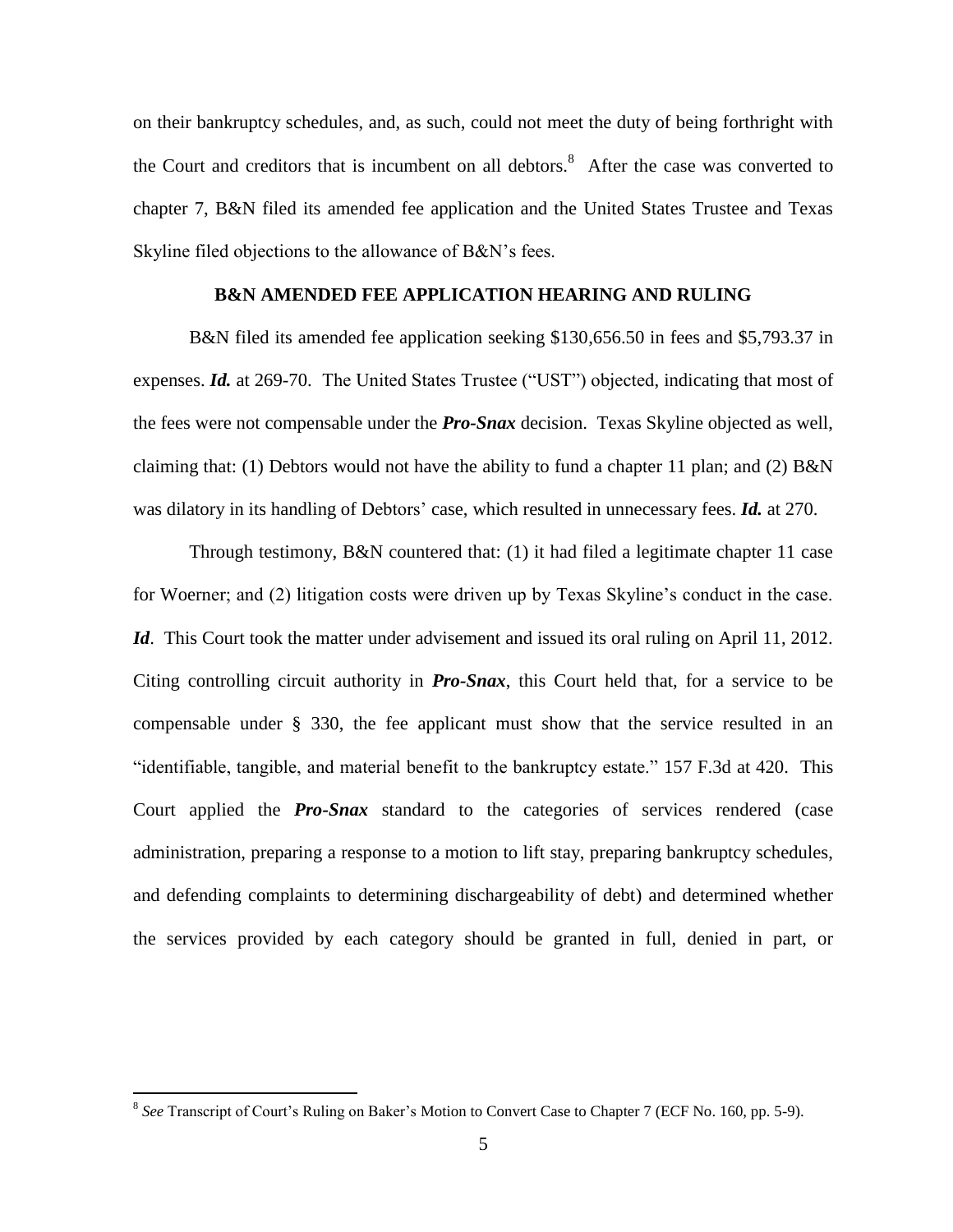on their bankruptcy schedules, and, as such, could not meet the duty of being forthright with the Court and creditors that is incumbent on all debtors. $8$  After the case was converted to chapter 7, B&N filed its amended fee application and the United States Trustee and Texas Skyline filed objections to the allowance of B&N's fees.

# **B&N AMENDED FEE APPLICATION HEARING AND RULING**

B&N filed its amended fee application seeking \$130,656.50 in fees and \$5,793.37 in expenses. *Id.* at 269-70. The United States Trustee ("UST") objected, indicating that most of the fees were not compensable under the *Pro-Snax* decision. Texas Skyline objected as well, claiming that: (1) Debtors would not have the ability to fund a chapter 11 plan; and (2) B&N was dilatory in its handling of Debtors' case, which resulted in unnecessary fees. *Id.* at 270.

Through testimony, B&N countered that: (1) it had filed a legitimate chapter 11 case for Woerner; and (2) litigation costs were driven up by Texas Skyline's conduct in the case. *Id.* This Court took the matter under advisement and issued its oral ruling on April 11, 2012. Citing controlling circuit authority in *Pro-Snax*, this Court held that, for a service to be compensable under § 330, the fee applicant must show that the service resulted in an "identifiable, tangible, and material benefit to the bankruptcy estate." 157 F.3d at 420. This Court applied the *Pro-Snax* standard to the categories of services rendered (case administration, preparing a response to a motion to lift stay, preparing bankruptcy schedules, and defending complaints to determining dischargeability of debt) and determined whether the services provided by each category should be granted in full, denied in part, or

<sup>&</sup>lt;sup>8</sup> See Transcript of Court's Ruling on Baker's Motion to Convert Case to Chapter 7 (ECF No. 160, pp. 5-9).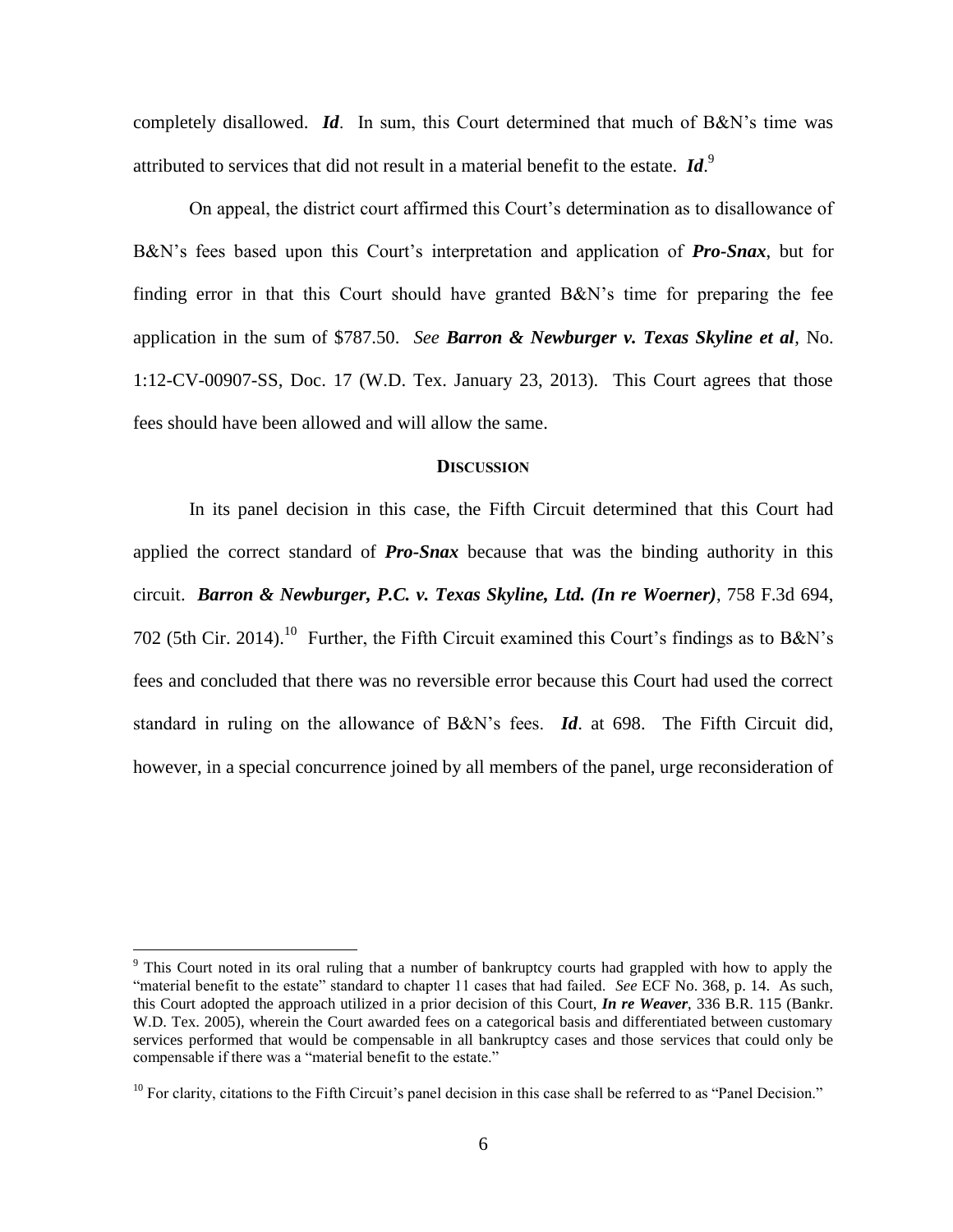completely disallowed. *Id*. In sum, this Court determined that much of B&N's time was attributed to services that did not result in a material benefit to the estate. *Id*. 9

On appeal, the district court affirmed this Court's determination as to disallowance of B&N's fees based upon this Court's interpretation and application of *Pro-Snax*, but for finding error in that this Court should have granted B&N's time for preparing the fee application in the sum of \$787.50. *See Barron & Newburger v. Texas Skyline et al*, No. 1:12-CV-00907-SS, Doc. 17 (W.D. Tex. January 23, 2013). This Court agrees that those fees should have been allowed and will allow the same.

#### **DISCUSSION**

In its panel decision in this case, the Fifth Circuit determined that this Court had applied the correct standard of *Pro-Snax* because that was the binding authority in this circuit. *Barron & Newburger, P.C. v. Texas Skyline, Ltd. (In re Woerner)*, 758 F.3d 694, 702 (5th Cir. 2014).<sup>10</sup> Further, the Fifth Circuit examined this Court's findings as to B&N's fees and concluded that there was no reversible error because this Court had used the correct standard in ruling on the allowance of B&N's fees. *Id*. at 698. The Fifth Circuit did, however, in a special concurrence joined by all members of the panel, urge reconsideration of

<sup>&</sup>lt;sup>9</sup> This Court noted in its oral ruling that a number of bankruptcy courts had grappled with how to apply the "material benefit to the estate" standard to chapter 11 cases that had failed. *See* ECF No. 368, p. 14. As such, this Court adopted the approach utilized in a prior decision of this Court, *In re Weaver*, 336 B.R. 115 (Bankr. W.D. Tex. 2005), wherein the Court awarded fees on a categorical basis and differentiated between customary services performed that would be compensable in all bankruptcy cases and those services that could only be compensable if there was a "material benefit to the estate."

 $10$  For clarity, citations to the Fifth Circuit's panel decision in this case shall be referred to as "Panel Decision."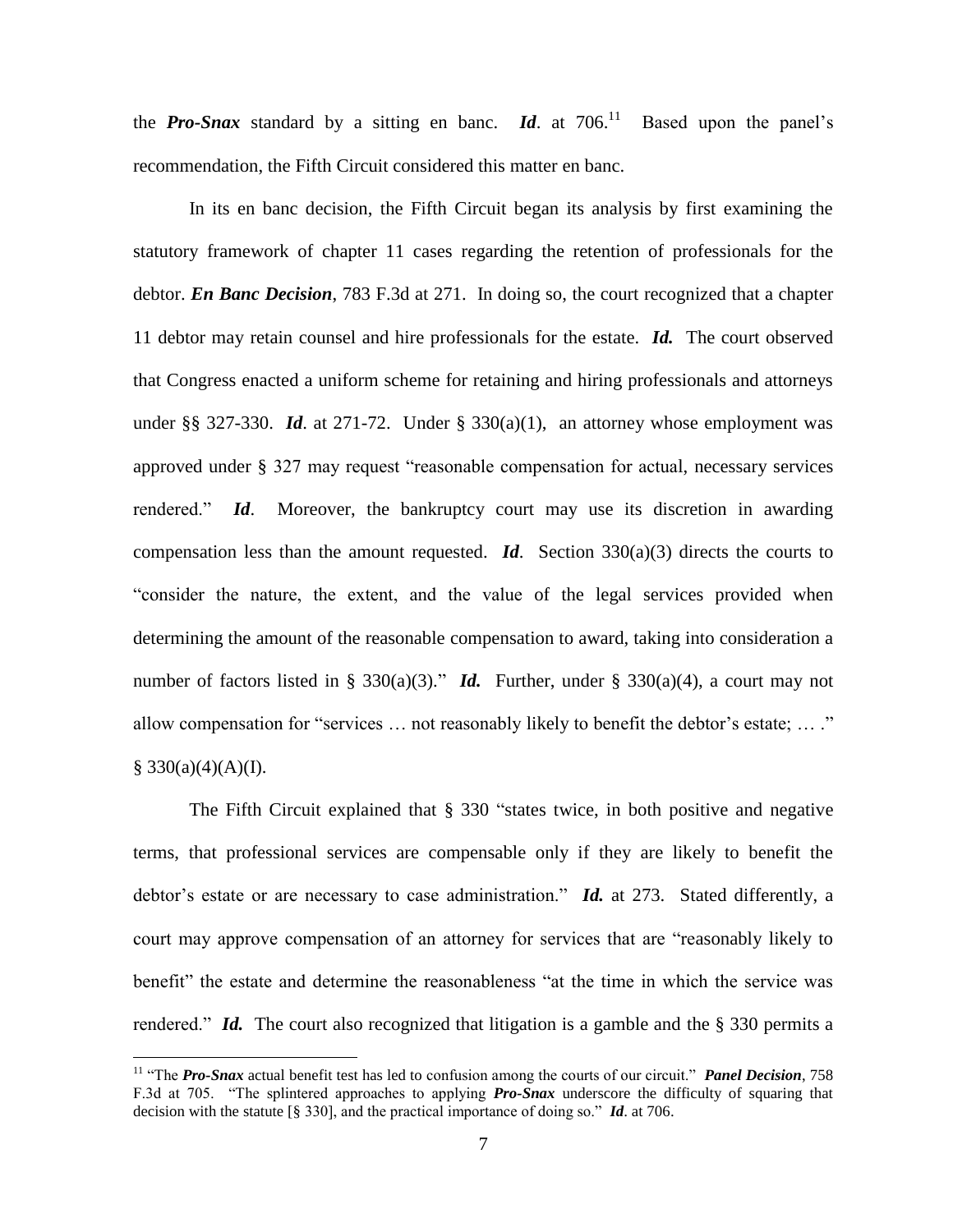the **Pro-Snax** standard by a sitting en banc. **Id**. at  $706$ <sup>11</sup> Based upon the panel's recommendation, the Fifth Circuit considered this matter en banc.

In its en banc decision, the Fifth Circuit began its analysis by first examining the statutory framework of chapter 11 cases regarding the retention of professionals for the debtor. *En Banc Decision*, 783 F.3d at 271. In doing so, the court recognized that a chapter 11 debtor may retain counsel and hire professionals for the estate. *Id.* The court observed that Congress enacted a uniform scheme for retaining and hiring professionals and attorneys under §§ 327-330. *Id.* at 271-72. Under § 330(a)(1), an attorney whose employment was approved under § 327 may request "reasonable compensation for actual, necessary services rendered." *Id*. Moreover, the bankruptcy court may use its discretion in awarding compensation less than the amount requested. *Id*. Section 330(a)(3) directs the courts to "consider the nature, the extent, and the value of the legal services provided when determining the amount of the reasonable compensation to award, taking into consideration a number of factors listed in § 330(a)(3)." *Id.* Further, under § 330(a)(4), a court may not allow compensation for "services … not reasonably likely to benefit the debtor's estate; … ."  $§$  330(a)(4)(A)(I).

The Fifth Circuit explained that § 330 "states twice, in both positive and negative terms, that professional services are compensable only if they are likely to benefit the debtor's estate or are necessary to case administration." *Id.* at 273. Stated differently, a court may approve compensation of an attorney for services that are "reasonably likely to benefit" the estate and determine the reasonableness "at the time in which the service was rendered." *Id.* The court also recognized that litigation is a gamble and the § 330 permits a

<sup>&</sup>lt;sup>11</sup> "The *Pro-Snax* actual benefit test has led to confusion among the courts of our circuit." *Panel Decision*, 758 F.3d at 705. "The splintered approaches to applying *Pro-Snax* underscore the difficulty of squaring that decision with the statute [§ 330], and the practical importance of doing so." *Id*. at 706.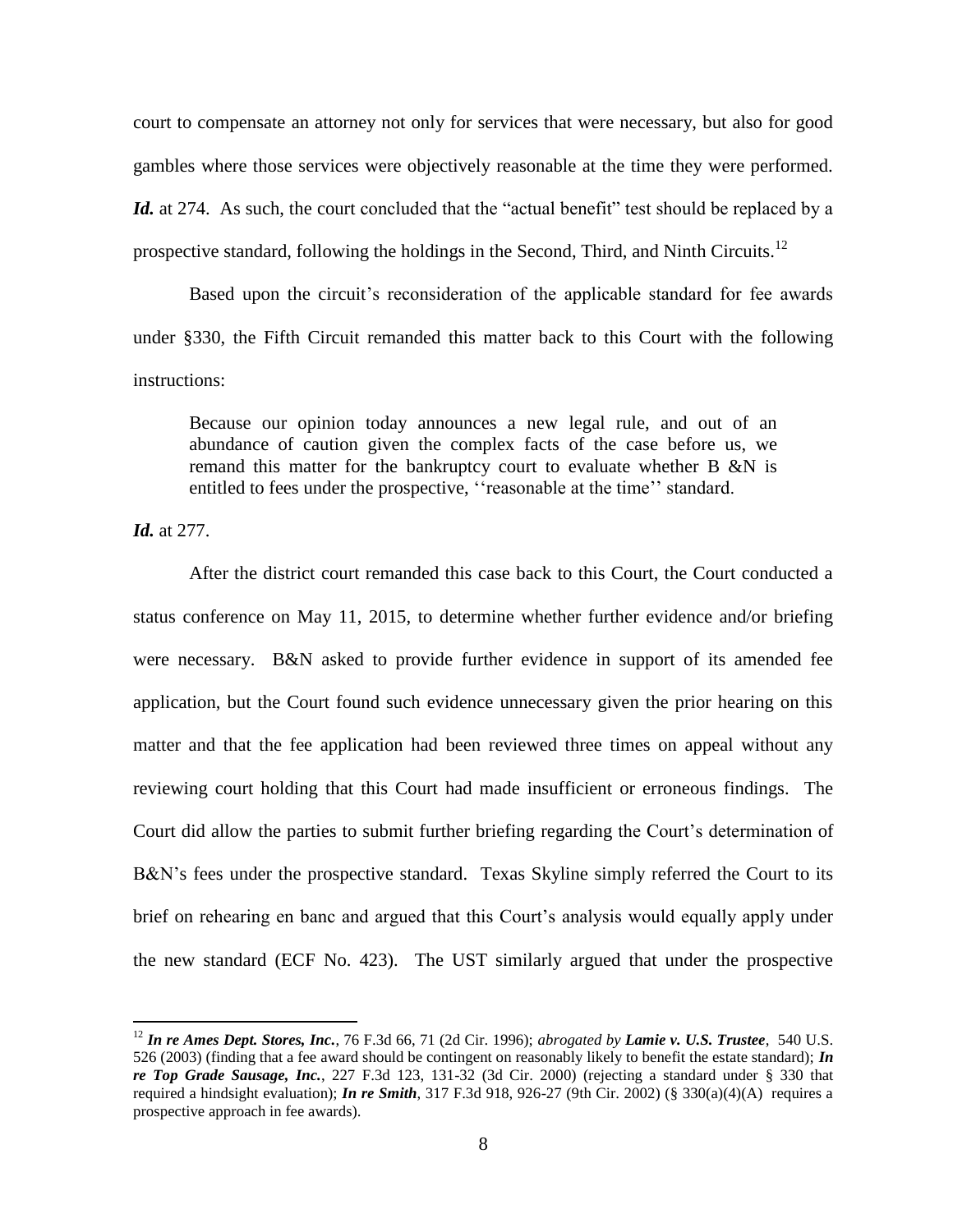court to compensate an attorney not only for services that were necessary, but also for good gambles where those services were objectively reasonable at the time they were performed. *Id.* at 274. As such, the court concluded that the "actual benefit" test should be replaced by a prospective standard, following the holdings in the Second, Third, and Ninth Circuits.<sup>12</sup>

Based upon the circuit's reconsideration of the applicable standard for fee awards under §330, the Fifth Circuit remanded this matter back to this Court with the following instructions:

Because our opinion today announces a new legal rule, and out of an abundance of caution given the complex facts of the case before us, we remand this matter for the bankruptcy court to evaluate whether B &N is entitled to fees under the prospective, ''reasonable at the time'' standard.

*Id.* at 277.

 $\overline{a}$ 

After the district court remanded this case back to this Court, the Court conducted a status conference on May 11, 2015, to determine whether further evidence and/or briefing were necessary. B&N asked to provide further evidence in support of its amended fee application, but the Court found such evidence unnecessary given the prior hearing on this matter and that the fee application had been reviewed three times on appeal without any reviewing court holding that this Court had made insufficient or erroneous findings. The Court did allow the parties to submit further briefing regarding the Court's determination of B&N's fees under the prospective standard. Texas Skyline simply referred the Court to its brief on rehearing en banc and argued that this Court's analysis would equally apply under the new standard (ECF No. 423). The UST similarly argued that under the prospective

<sup>12</sup> *In re Ames Dept. Stores, Inc.*, 76 F.3d 66, 71 (2d Cir. 1996); *abrogated by Lamie v. U.S. Trustee*, 540 U.S. 526 (2003) (finding that a fee award should be contingent on reasonably likely to benefit the estate standard); *In re Top Grade Sausage, Inc.*, 227 F.3d 123, 131-32 (3d Cir. 2000) (rejecting a standard under § 330 that required a hindsight evaluation); *In re Smith*, 317 F.3d 918, 926-27 (9th Cir. 2002) (§ 330(a)(4)(A) requires a prospective approach in fee awards).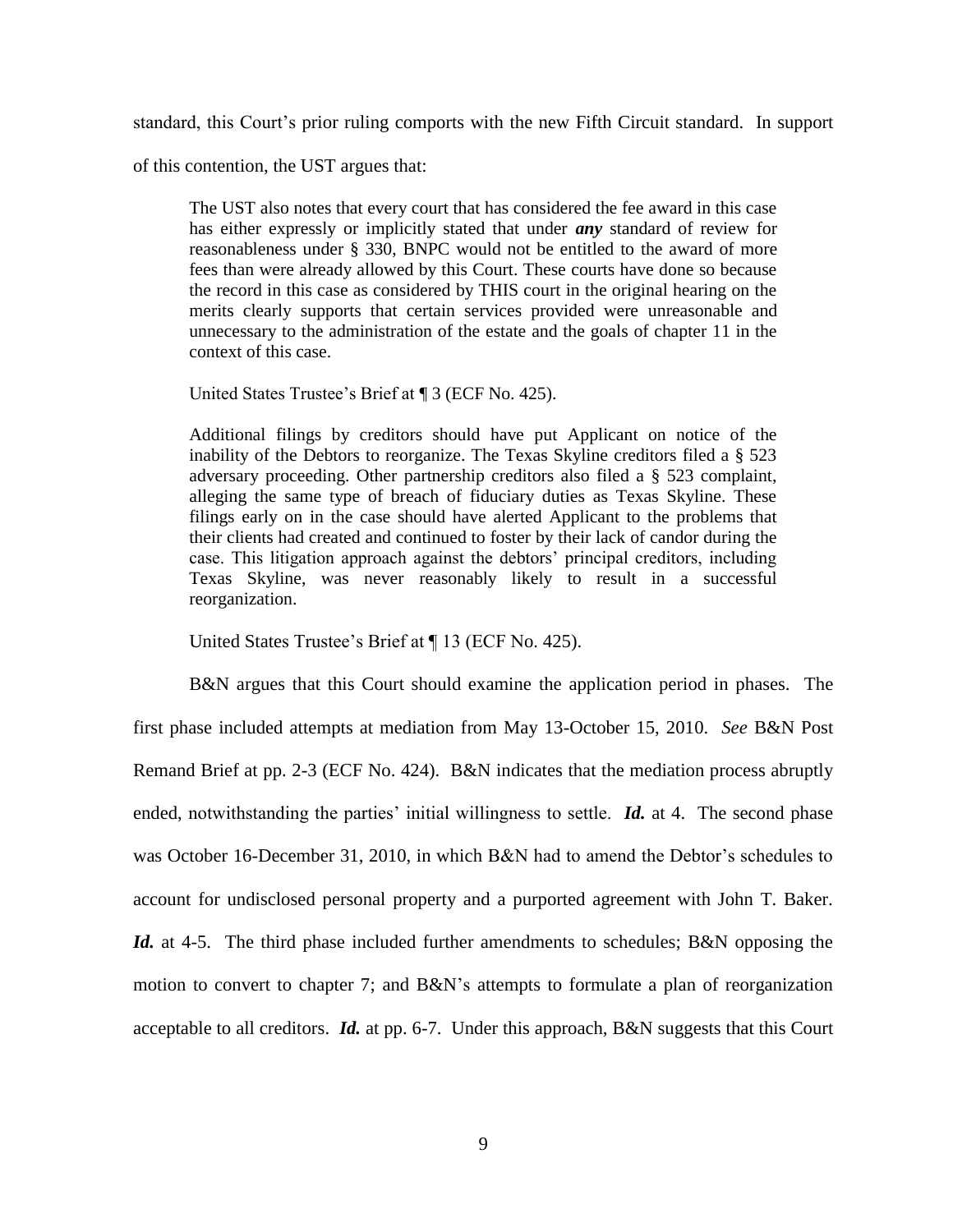standard, this Court's prior ruling comports with the new Fifth Circuit standard. In support

of this contention, the UST argues that:

The UST also notes that every court that has considered the fee award in this case has either expressly or implicitly stated that under *any* standard of review for reasonableness under § 330, BNPC would not be entitled to the award of more fees than were already allowed by this Court. These courts have done so because the record in this case as considered by THIS court in the original hearing on the merits clearly supports that certain services provided were unreasonable and unnecessary to the administration of the estate and the goals of chapter 11 in the context of this case.

United States Trustee's Brief at ¶ 3 (ECF No. 425).

Additional filings by creditors should have put Applicant on notice of the inability of the Debtors to reorganize. The Texas Skyline creditors filed a § 523 adversary proceeding. Other partnership creditors also filed a § 523 complaint, alleging the same type of breach of fiduciary duties as Texas Skyline. These filings early on in the case should have alerted Applicant to the problems that their clients had created and continued to foster by their lack of candor during the case. This litigation approach against the debtors' principal creditors, including Texas Skyline, was never reasonably likely to result in a successful reorganization.

United States Trustee's Brief at ¶ 13 (ECF No. 425).

B&N argues that this Court should examine the application period in phases. The first phase included attempts at mediation from May 13-October 15, 2010. *See* B&N Post Remand Brief at pp. 2-3 (ECF No. 424). B&N indicates that the mediation process abruptly ended, notwithstanding the parties' initial willingness to settle. **Id.** at 4. The second phase was October 16-December 31, 2010, in which B&N had to amend the Debtor's schedules to account for undisclosed personal property and a purported agreement with John T. Baker. *Id.* at 4-5. The third phase included further amendments to schedules; B&N opposing the motion to convert to chapter 7; and B&N's attempts to formulate a plan of reorganization acceptable to all creditors. *Id.* at pp. 6-7. Under this approach, B&N suggests that this Court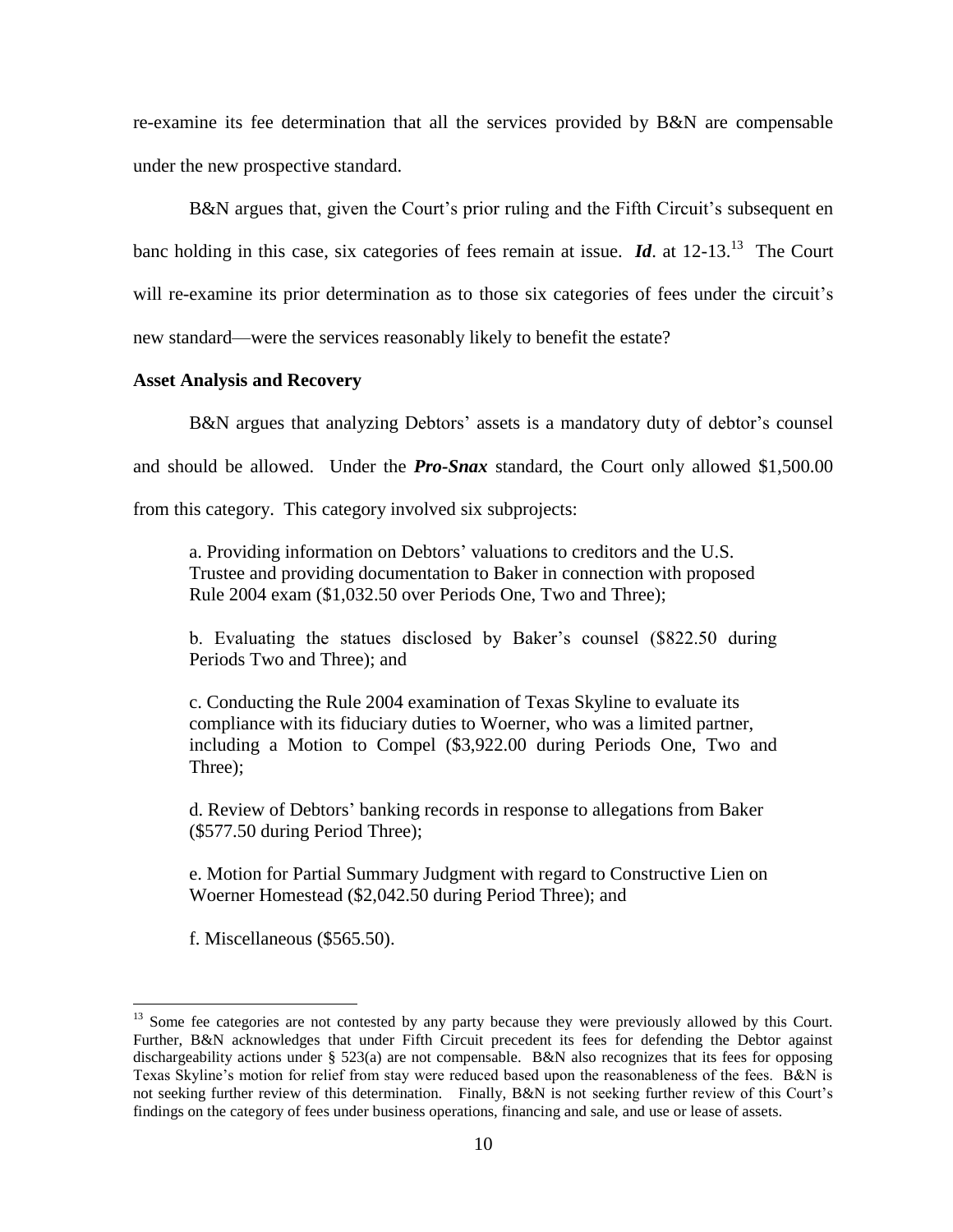re-examine its fee determination that all the services provided by B&N are compensable under the new prospective standard.

B&N argues that, given the Court's prior ruling and the Fifth Circuit's subsequent en banc holding in this case, six categories of fees remain at issue.  $\mathbf{Id}$  at 12-13.<sup>13</sup> The Court will re-examine its prior determination as to those six categories of fees under the circuit's new standard—were the services reasonably likely to benefit the estate?

#### **Asset Analysis and Recovery**

B&N argues that analyzing Debtors' assets is a mandatory duty of debtor's counsel and should be allowed. Under the *Pro-Snax* standard, the Court only allowed \$1,500.00 from this category. This category involved six subprojects:

a. Providing information on Debtors' valuations to creditors and the U.S. Trustee and providing documentation to Baker in connection with proposed Rule 2004 exam (\$1,032.50 over Periods One, Two and Three);

b. Evaluating the statues disclosed by Baker's counsel (\$822.50 during Periods Two and Three); and

c. Conducting the Rule 2004 examination of Texas Skyline to evaluate its compliance with its fiduciary duties to Woerner, who was a limited partner, including a Motion to Compel (\$3,922.00 during Periods One, Two and Three);

d. Review of Debtors' banking records in response to allegations from Baker (\$577.50 during Period Three);

e. Motion for Partial Summary Judgment with regard to Constructive Lien on Woerner Homestead (\$2,042.50 during Period Three); and

f. Miscellaneous (\$565.50).

<sup>&</sup>lt;sup>13</sup> Some fee categories are not contested by any party because they were previously allowed by this Court. Further, B&N acknowledges that under Fifth Circuit precedent its fees for defending the Debtor against dischargeability actions under § 523(a) are not compensable. B&N also recognizes that its fees for opposing Texas Skyline's motion for relief from stay were reduced based upon the reasonableness of the fees. B&N is not seeking further review of this determination. Finally, B&N is not seeking further review of this Court's findings on the category of fees under business operations, financing and sale, and use or lease of assets.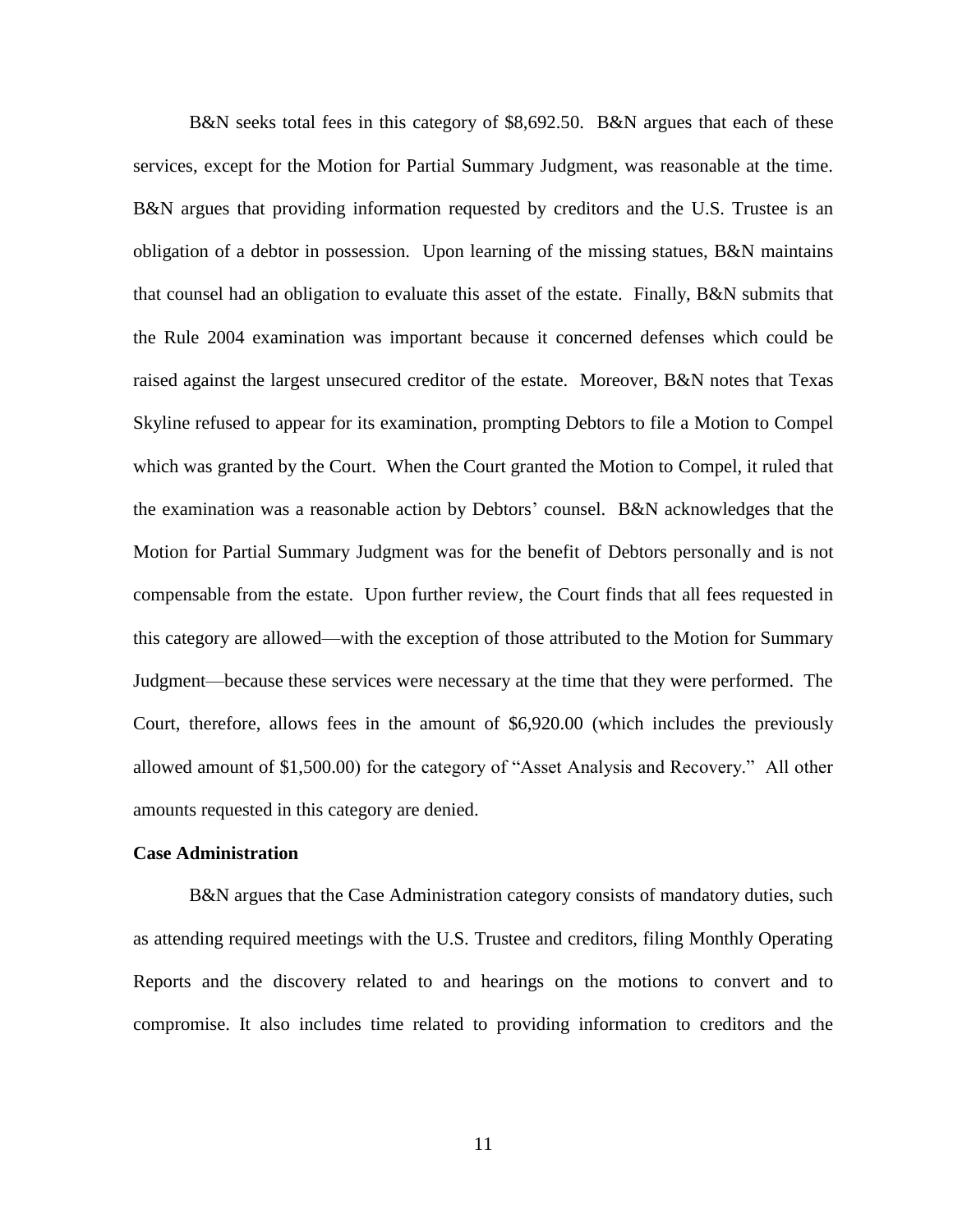B&N seeks total fees in this category of \$8,692.50. B&N argues that each of these services, except for the Motion for Partial Summary Judgment, was reasonable at the time. B&N argues that providing information requested by creditors and the U.S. Trustee is an obligation of a debtor in possession. Upon learning of the missing statues, B&N maintains that counsel had an obligation to evaluate this asset of the estate. Finally, B&N submits that the Rule 2004 examination was important because it concerned defenses which could be raised against the largest unsecured creditor of the estate. Moreover, B&N notes that Texas Skyline refused to appear for its examination, prompting Debtors to file a Motion to Compel which was granted by the Court. When the Court granted the Motion to Compel, it ruled that the examination was a reasonable action by Debtors' counsel. B&N acknowledges that the Motion for Partial Summary Judgment was for the benefit of Debtors personally and is not compensable from the estate. Upon further review, the Court finds that all fees requested in this category are allowed—with the exception of those attributed to the Motion for Summary Judgment—because these services were necessary at the time that they were performed. The Court, therefore, allows fees in the amount of \$6,920.00 (which includes the previously allowed amount of \$1,500.00) for the category of "Asset Analysis and Recovery." All other amounts requested in this category are denied.

### **Case Administration**

B&N argues that the Case Administration category consists of mandatory duties, such as attending required meetings with the U.S. Trustee and creditors, filing Monthly Operating Reports and the discovery related to and hearings on the motions to convert and to compromise. It also includes time related to providing information to creditors and the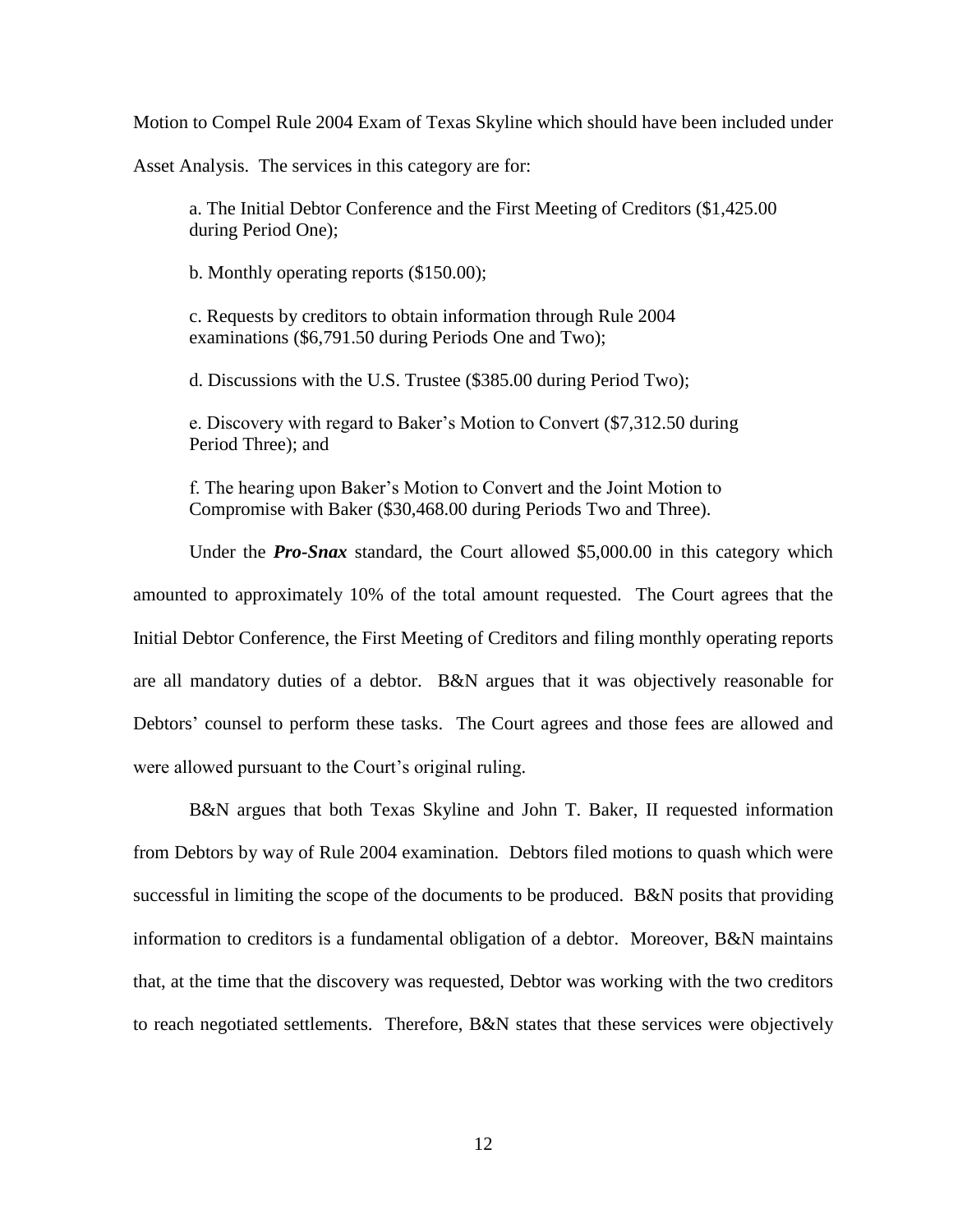Motion to Compel Rule 2004 Exam of Texas Skyline which should have been included under

Asset Analysis. The services in this category are for:

a. The Initial Debtor Conference and the First Meeting of Creditors (\$1,425.00 during Period One);

b. Monthly operating reports (\$150.00);

c. Requests by creditors to obtain information through Rule 2004 examinations (\$6,791.50 during Periods One and Two);

d. Discussions with the U.S. Trustee (\$385.00 during Period Two);

e. Discovery with regard to Baker's Motion to Convert (\$7,312.50 during Period Three); and

f. The hearing upon Baker's Motion to Convert and the Joint Motion to Compromise with Baker (\$30,468.00 during Periods Two and Three).

Under the *Pro-Snax* standard, the Court allowed \$5,000.00 in this category which amounted to approximately 10% of the total amount requested. The Court agrees that the Initial Debtor Conference, the First Meeting of Creditors and filing monthly operating reports are all mandatory duties of a debtor. B&N argues that it was objectively reasonable for Debtors' counsel to perform these tasks. The Court agrees and those fees are allowed and were allowed pursuant to the Court's original ruling.

B&N argues that both Texas Skyline and John T. Baker, II requested information from Debtors by way of Rule 2004 examination. Debtors filed motions to quash which were successful in limiting the scope of the documents to be produced. B&N posits that providing information to creditors is a fundamental obligation of a debtor. Moreover, B&N maintains that, at the time that the discovery was requested, Debtor was working with the two creditors to reach negotiated settlements. Therefore, B&N states that these services were objectively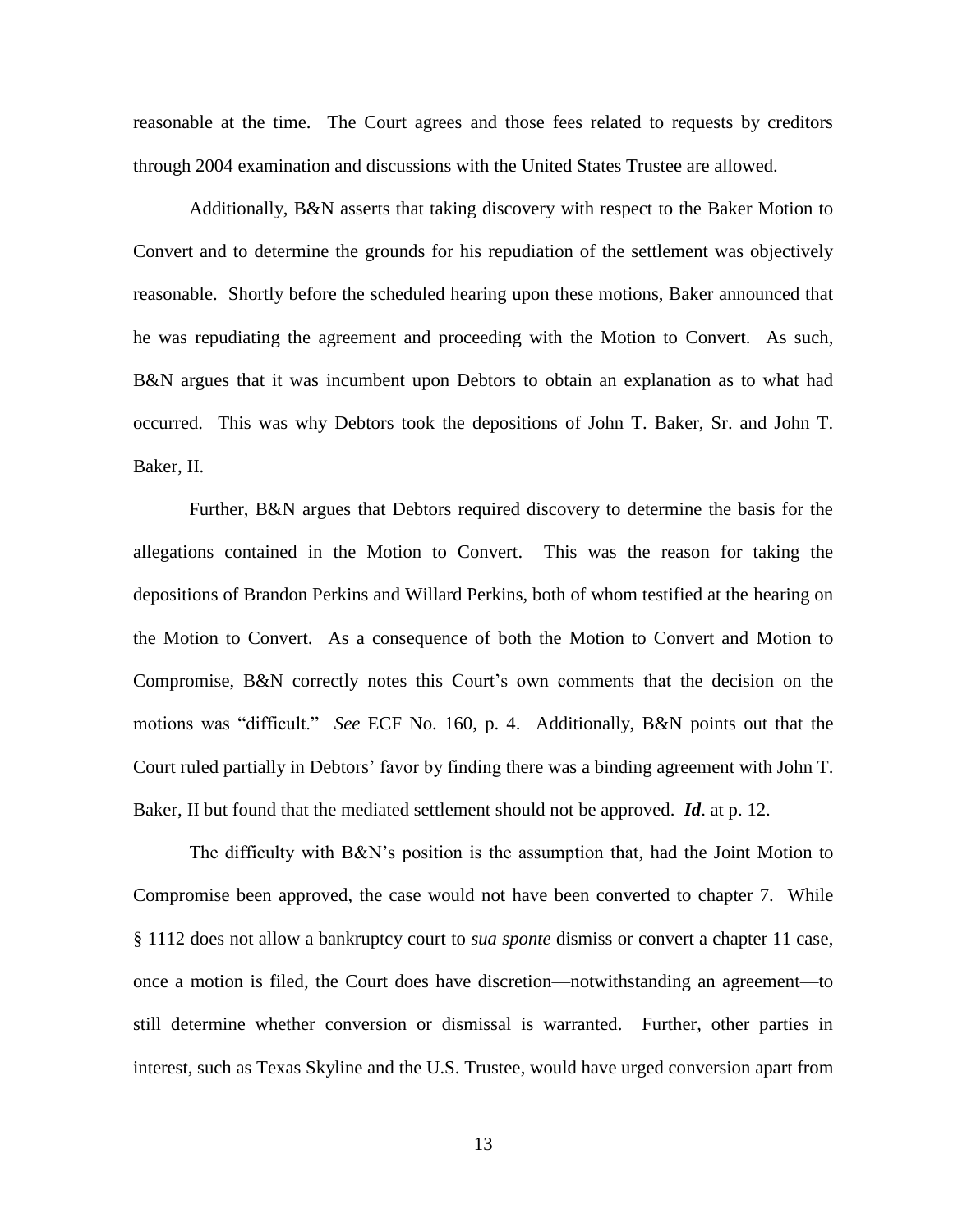reasonable at the time. The Court agrees and those fees related to requests by creditors through 2004 examination and discussions with the United States Trustee are allowed.

Additionally, B&N asserts that taking discovery with respect to the Baker Motion to Convert and to determine the grounds for his repudiation of the settlement was objectively reasonable. Shortly before the scheduled hearing upon these motions, Baker announced that he was repudiating the agreement and proceeding with the Motion to Convert. As such, B&N argues that it was incumbent upon Debtors to obtain an explanation as to what had occurred. This was why Debtors took the depositions of John T. Baker, Sr. and John T. Baker, II.

Further, B&N argues that Debtors required discovery to determine the basis for the allegations contained in the Motion to Convert. This was the reason for taking the depositions of Brandon Perkins and Willard Perkins, both of whom testified at the hearing on the Motion to Convert. As a consequence of both the Motion to Convert and Motion to Compromise, B&N correctly notes this Court's own comments that the decision on the motions was "difficult." *See* ECF No. 160, p. 4. Additionally, B&N points out that the Court ruled partially in Debtors' favor by finding there was a binding agreement with John T. Baker, II but found that the mediated settlement should not be approved. *Id*. at p. 12.

The difficulty with B&N's position is the assumption that, had the Joint Motion to Compromise been approved, the case would not have been converted to chapter 7. While § 1112 does not allow a bankruptcy court to *sua sponte* dismiss or convert a chapter 11 case, once a motion is filed, the Court does have discretion—notwithstanding an agreement—to still determine whether conversion or dismissal is warranted. Further, other parties in interest, such as Texas Skyline and the U.S. Trustee, would have urged conversion apart from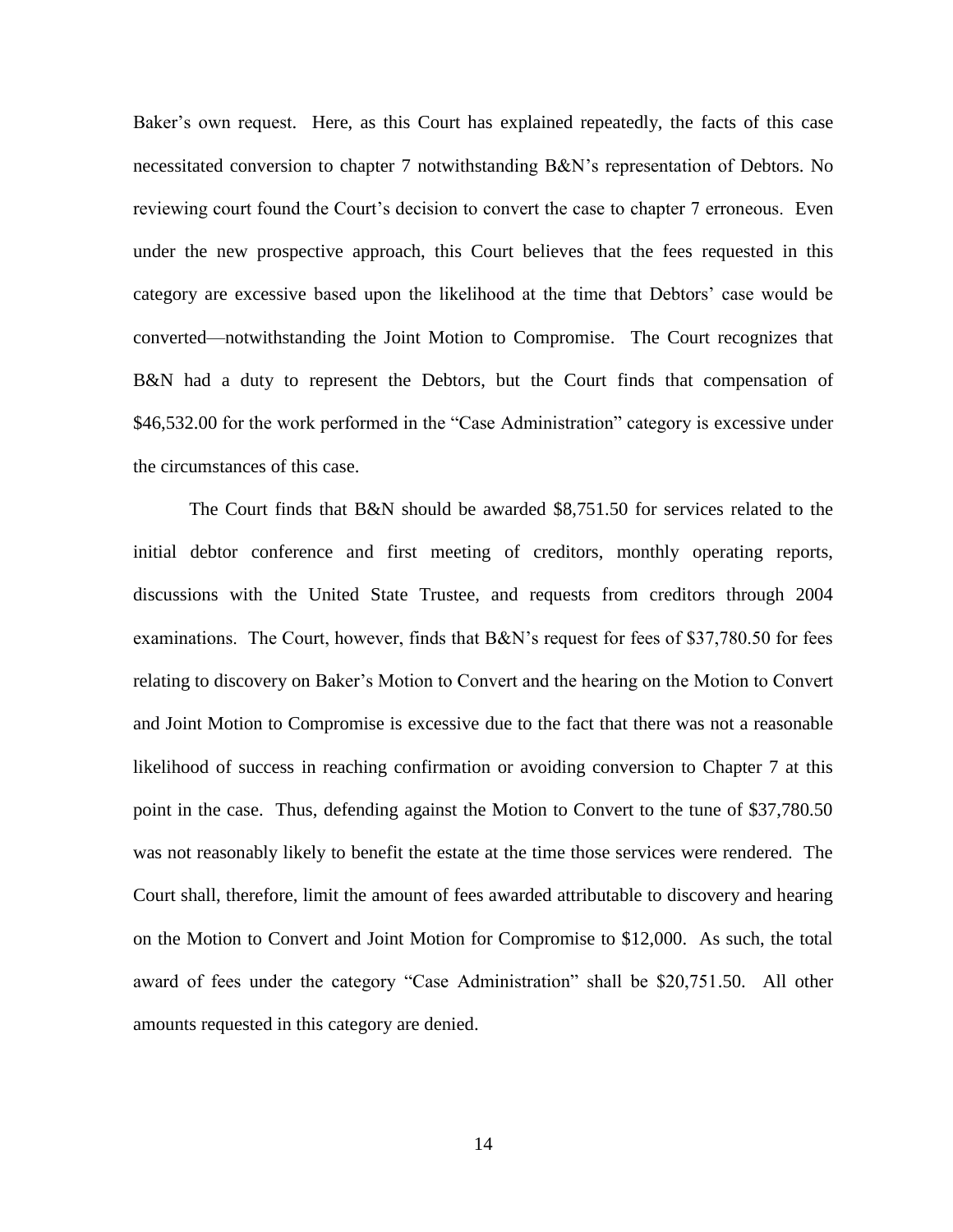Baker's own request. Here, as this Court has explained repeatedly, the facts of this case necessitated conversion to chapter 7 notwithstanding B&N's representation of Debtors. No reviewing court found the Court's decision to convert the case to chapter 7 erroneous. Even under the new prospective approach, this Court believes that the fees requested in this category are excessive based upon the likelihood at the time that Debtors' case would be converted—notwithstanding the Joint Motion to Compromise. The Court recognizes that B&N had a duty to represent the Debtors, but the Court finds that compensation of \$46,532.00 for the work performed in the "Case Administration" category is excessive under the circumstances of this case.

The Court finds that B&N should be awarded \$8,751.50 for services related to the initial debtor conference and first meeting of creditors, monthly operating reports, discussions with the United State Trustee, and requests from creditors through 2004 examinations. The Court, however, finds that B&N's request for fees of \$37,780.50 for fees relating to discovery on Baker's Motion to Convert and the hearing on the Motion to Convert and Joint Motion to Compromise is excessive due to the fact that there was not a reasonable likelihood of success in reaching confirmation or avoiding conversion to Chapter 7 at this point in the case. Thus, defending against the Motion to Convert to the tune of \$37,780.50 was not reasonably likely to benefit the estate at the time those services were rendered. The Court shall, therefore, limit the amount of fees awarded attributable to discovery and hearing on the Motion to Convert and Joint Motion for Compromise to \$12,000. As such, the total award of fees under the category "Case Administration" shall be \$20,751.50. All other amounts requested in this category are denied.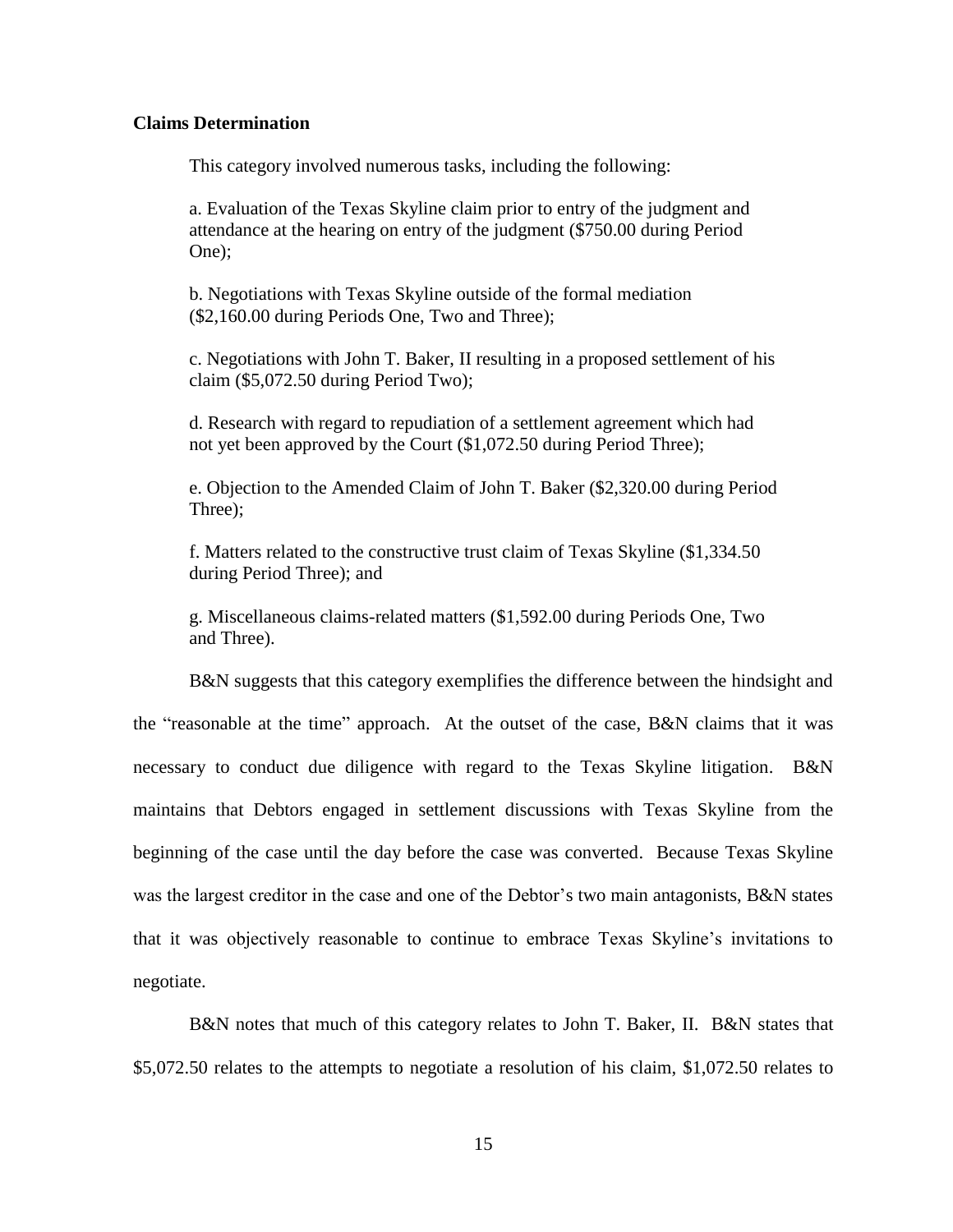## **Claims Determination**

This category involved numerous tasks, including the following:

a. Evaluation of the Texas Skyline claim prior to entry of the judgment and attendance at the hearing on entry of the judgment (\$750.00 during Period One);

b. Negotiations with Texas Skyline outside of the formal mediation (\$2,160.00 during Periods One, Two and Three);

c. Negotiations with John T. Baker, II resulting in a proposed settlement of his claim (\$5,072.50 during Period Two);

d. Research with regard to repudiation of a settlement agreement which had not yet been approved by the Court (\$1,072.50 during Period Three);

e. Objection to the Amended Claim of John T. Baker (\$2,320.00 during Period Three);

f. Matters related to the constructive trust claim of Texas Skyline (\$1,334.50 during Period Three); and

g. Miscellaneous claims-related matters (\$1,592.00 during Periods One, Two and Three).

B&N suggests that this category exemplifies the difference between the hindsight and the "reasonable at the time" approach. At the outset of the case, B&N claims that it was necessary to conduct due diligence with regard to the Texas Skyline litigation. B&N maintains that Debtors engaged in settlement discussions with Texas Skyline from the beginning of the case until the day before the case was converted. Because Texas Skyline was the largest creditor in the case and one of the Debtor's two main antagonists, B&N states that it was objectively reasonable to continue to embrace Texas Skyline's invitations to negotiate.

B&N notes that much of this category relates to John T. Baker, II. B&N states that \$5,072.50 relates to the attempts to negotiate a resolution of his claim, \$1,072.50 relates to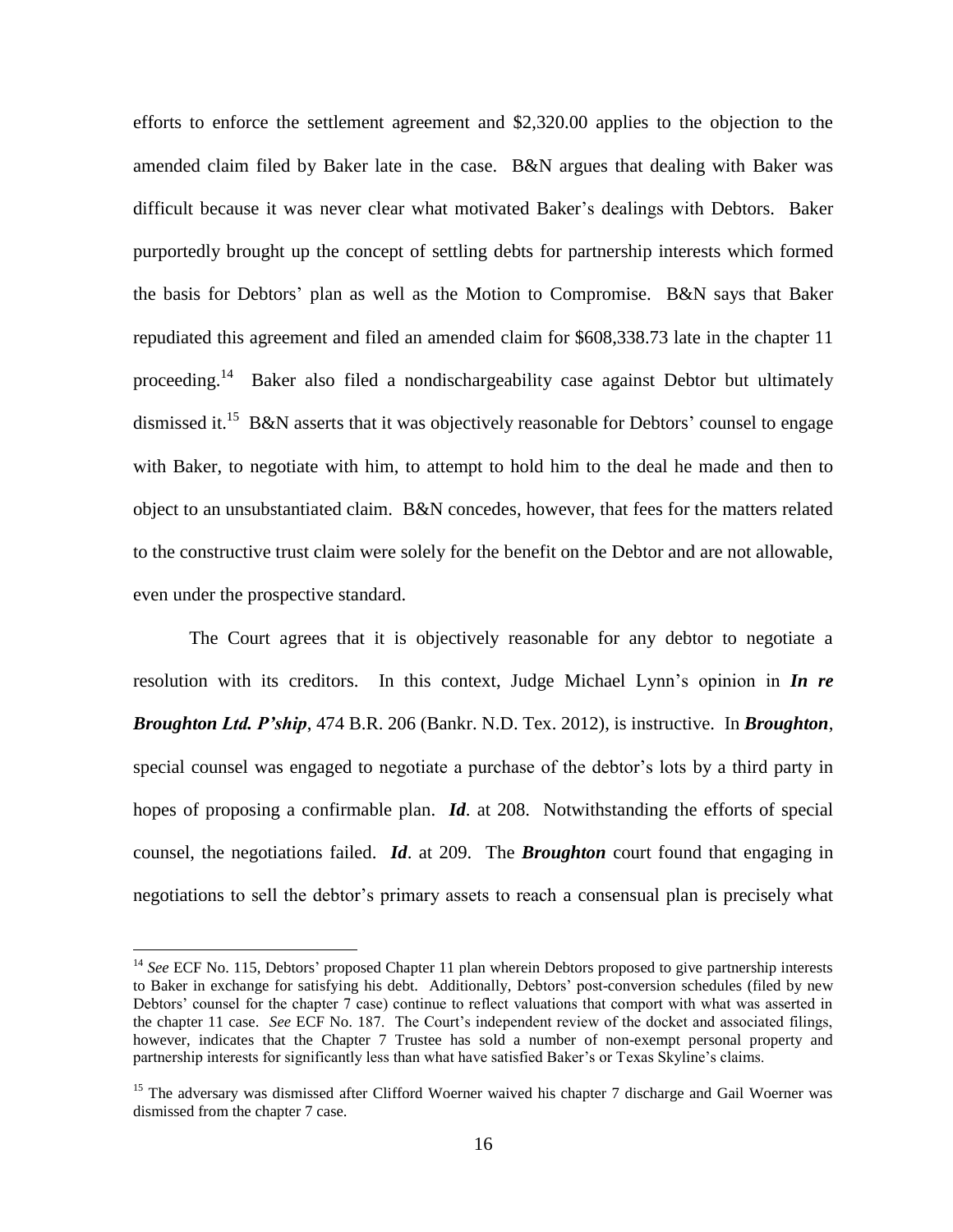efforts to enforce the settlement agreement and \$2,320.00 applies to the objection to the amended claim filed by Baker late in the case. B&N argues that dealing with Baker was difficult because it was never clear what motivated Baker's dealings with Debtors. Baker purportedly brought up the concept of settling debts for partnership interests which formed the basis for Debtors' plan as well as the Motion to Compromise. B&N says that Baker repudiated this agreement and filed an amended claim for \$608,338.73 late in the chapter 11 proceeding.<sup>14</sup> Baker also filed a nondischargeability case against Debtor but ultimately dismissed it.<sup>15</sup> B&N asserts that it was objectively reasonable for Debtors' counsel to engage with Baker, to negotiate with him, to attempt to hold him to the deal he made and then to object to an unsubstantiated claim. B&N concedes, however, that fees for the matters related to the constructive trust claim were solely for the benefit on the Debtor and are not allowable, even under the prospective standard.

The Court agrees that it is objectively reasonable for any debtor to negotiate a resolution with its creditors. In this context, Judge Michael Lynn's opinion in *In re Broughton Ltd. P'ship*, 474 B.R. 206 (Bankr. N.D. Tex. 2012), is instructive. In *Broughton*, special counsel was engaged to negotiate a purchase of the debtor's lots by a third party in hopes of proposing a confirmable plan. *Id*. at 208. Notwithstanding the efforts of special counsel, the negotiations failed. *Id*. at 209. The *Broughton* court found that engaging in negotiations to sell the debtor's primary assets to reach a consensual plan is precisely what

<sup>&</sup>lt;sup>14</sup> See ECF No. 115, Debtors' proposed Chapter 11 plan wherein Debtors proposed to give partnership interests to Baker in exchange for satisfying his debt. Additionally, Debtors' post-conversion schedules (filed by new Debtors' counsel for the chapter 7 case) continue to reflect valuations that comport with what was asserted in the chapter 11 case. *See* ECF No. 187. The Court's independent review of the docket and associated filings, however, indicates that the Chapter 7 Trustee has sold a number of non-exempt personal property and partnership interests for significantly less than what have satisfied Baker's or Texas Skyline's claims.

<sup>&</sup>lt;sup>15</sup> The adversary was dismissed after Clifford Woerner waived his chapter 7 discharge and Gail Woerner was dismissed from the chapter 7 case.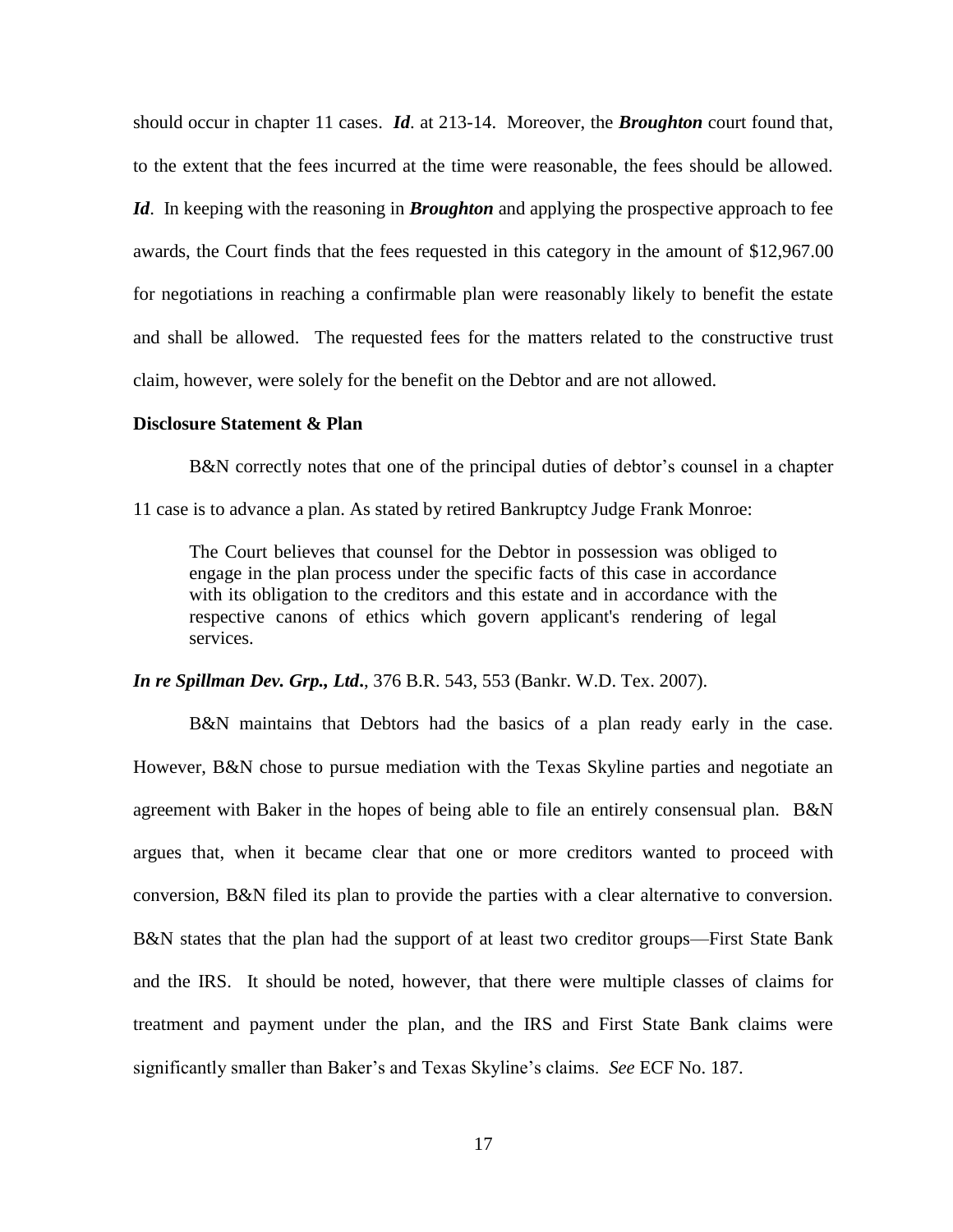should occur in chapter 11 cases. *Id*. at 213-14. Moreover, the *Broughton* court found that, to the extent that the fees incurred at the time were reasonable, the fees should be allowed. *Id*. In keeping with the reasoning in *Broughton* and applying the prospective approach to fee awards, the Court finds that the fees requested in this category in the amount of \$12,967.00 for negotiations in reaching a confirmable plan were reasonably likely to benefit the estate and shall be allowed. The requested fees for the matters related to the constructive trust claim, however, were solely for the benefit on the Debtor and are not allowed.

## **Disclosure Statement & Plan**

B&N correctly notes that one of the principal duties of debtor's counsel in a chapter

11 case is to advance a plan. As stated by retired Bankruptcy Judge Frank Monroe:

The Court believes that counsel for the Debtor in possession was obliged to engage in the plan process under the specific facts of this case in accordance with its obligation to the creditors and this estate and in accordance with the respective canons of ethics which govern applicant's rendering of legal services.

*In re Spillman Dev. Grp., Ltd***.**, 376 B.R. 543, 553 (Bankr. W.D. Tex. 2007).

B&N maintains that Debtors had the basics of a plan ready early in the case. However, B&N chose to pursue mediation with the Texas Skyline parties and negotiate an agreement with Baker in the hopes of being able to file an entirely consensual plan. B&N argues that, when it became clear that one or more creditors wanted to proceed with conversion, B&N filed its plan to provide the parties with a clear alternative to conversion. B&N states that the plan had the support of at least two creditor groups—First State Bank and the IRS. It should be noted, however, that there were multiple classes of claims for treatment and payment under the plan, and the IRS and First State Bank claims were significantly smaller than Baker's and Texas Skyline's claims. *See* ECF No. 187.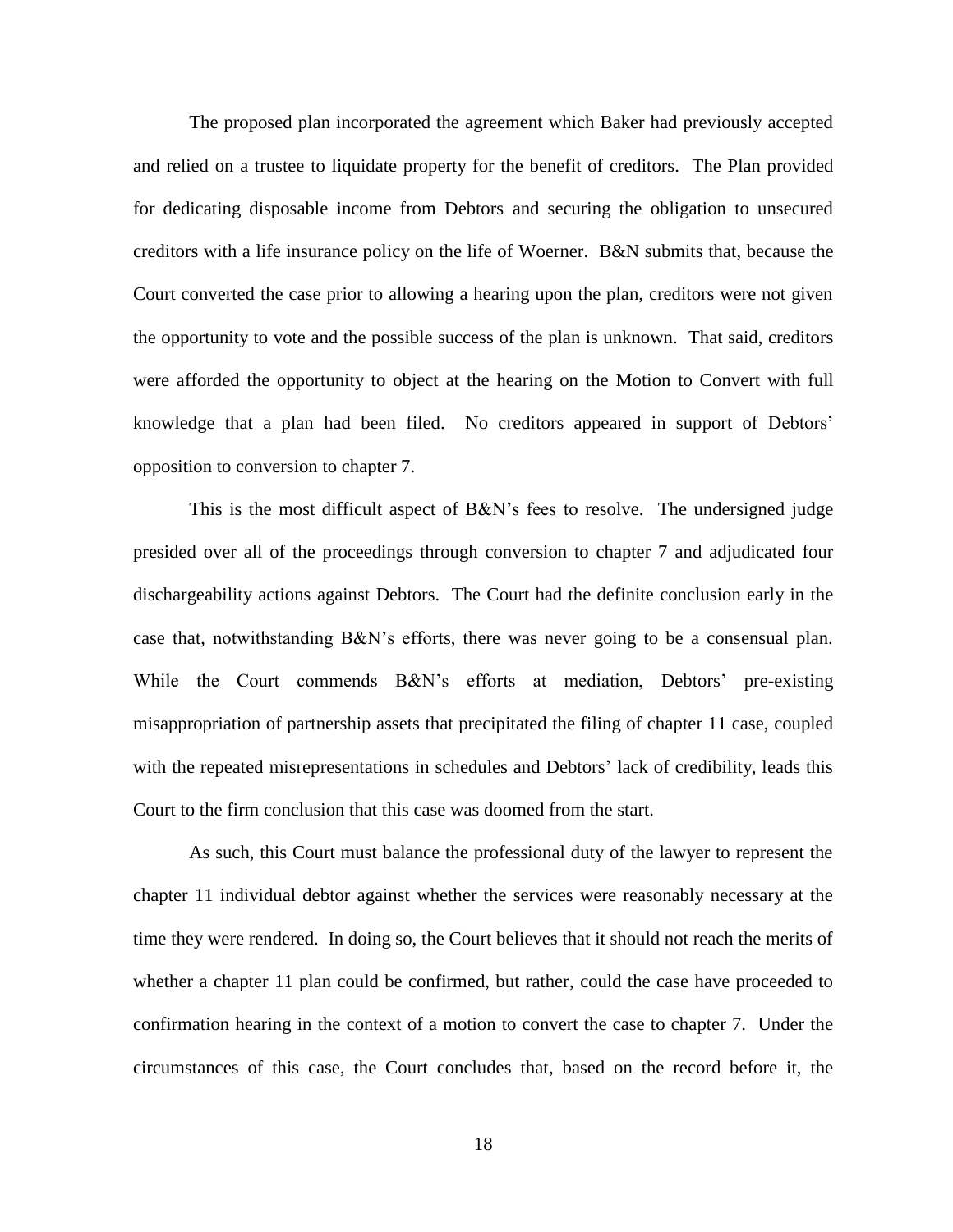The proposed plan incorporated the agreement which Baker had previously accepted and relied on a trustee to liquidate property for the benefit of creditors. The Plan provided for dedicating disposable income from Debtors and securing the obligation to unsecured creditors with a life insurance policy on the life of Woerner. B&N submits that, because the Court converted the case prior to allowing a hearing upon the plan, creditors were not given the opportunity to vote and the possible success of the plan is unknown. That said, creditors were afforded the opportunity to object at the hearing on the Motion to Convert with full knowledge that a plan had been filed. No creditors appeared in support of Debtors' opposition to conversion to chapter 7.

This is the most difficult aspect of B&N's fees to resolve. The undersigned judge presided over all of the proceedings through conversion to chapter 7 and adjudicated four dischargeability actions against Debtors. The Court had the definite conclusion early in the case that, notwithstanding B&N's efforts, there was never going to be a consensual plan. While the Court commends B&N's efforts at mediation, Debtors' pre-existing misappropriation of partnership assets that precipitated the filing of chapter 11 case, coupled with the repeated misrepresentations in schedules and Debtors' lack of credibility, leads this Court to the firm conclusion that this case was doomed from the start.

As such, this Court must balance the professional duty of the lawyer to represent the chapter 11 individual debtor against whether the services were reasonably necessary at the time they were rendered. In doing so, the Court believes that it should not reach the merits of whether a chapter 11 plan could be confirmed, but rather, could the case have proceeded to confirmation hearing in the context of a motion to convert the case to chapter 7. Under the circumstances of this case, the Court concludes that, based on the record before it, the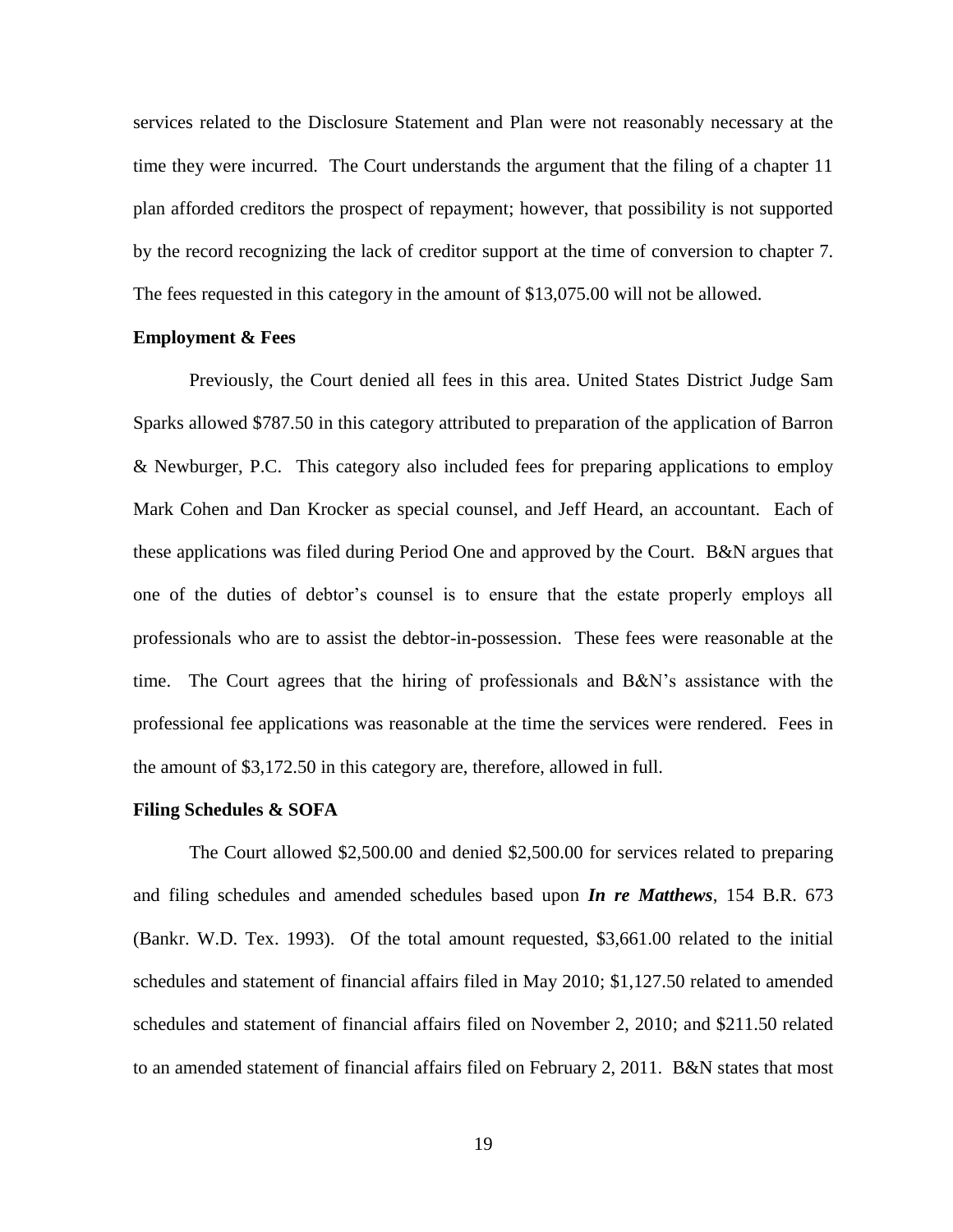services related to the Disclosure Statement and Plan were not reasonably necessary at the time they were incurred. The Court understands the argument that the filing of a chapter 11 plan afforded creditors the prospect of repayment; however, that possibility is not supported by the record recognizing the lack of creditor support at the time of conversion to chapter 7. The fees requested in this category in the amount of \$13,075.00 will not be allowed.

#### **Employment & Fees**

Previously, the Court denied all fees in this area. United States District Judge Sam Sparks allowed \$787.50 in this category attributed to preparation of the application of Barron & Newburger, P.C. This category also included fees for preparing applications to employ Mark Cohen and Dan Krocker as special counsel, and Jeff Heard, an accountant. Each of these applications was filed during Period One and approved by the Court. B&N argues that one of the duties of debtor's counsel is to ensure that the estate properly employs all professionals who are to assist the debtor-in-possession. These fees were reasonable at the time. The Court agrees that the hiring of professionals and B&N's assistance with the professional fee applications was reasonable at the time the services were rendered. Fees in the amount of \$3,172.50 in this category are, therefore, allowed in full.

#### **Filing Schedules & SOFA**

The Court allowed \$2,500.00 and denied \$2,500.00 for services related to preparing and filing schedules and amended schedules based upon *In re Matthews*, 154 B.R. 673 (Bankr. W.D. Tex. 1993). Of the total amount requested, \$3,661.00 related to the initial schedules and statement of financial affairs filed in May 2010; \$1,127.50 related to amended schedules and statement of financial affairs filed on November 2, 2010; and \$211.50 related to an amended statement of financial affairs filed on February 2, 2011. B&N states that most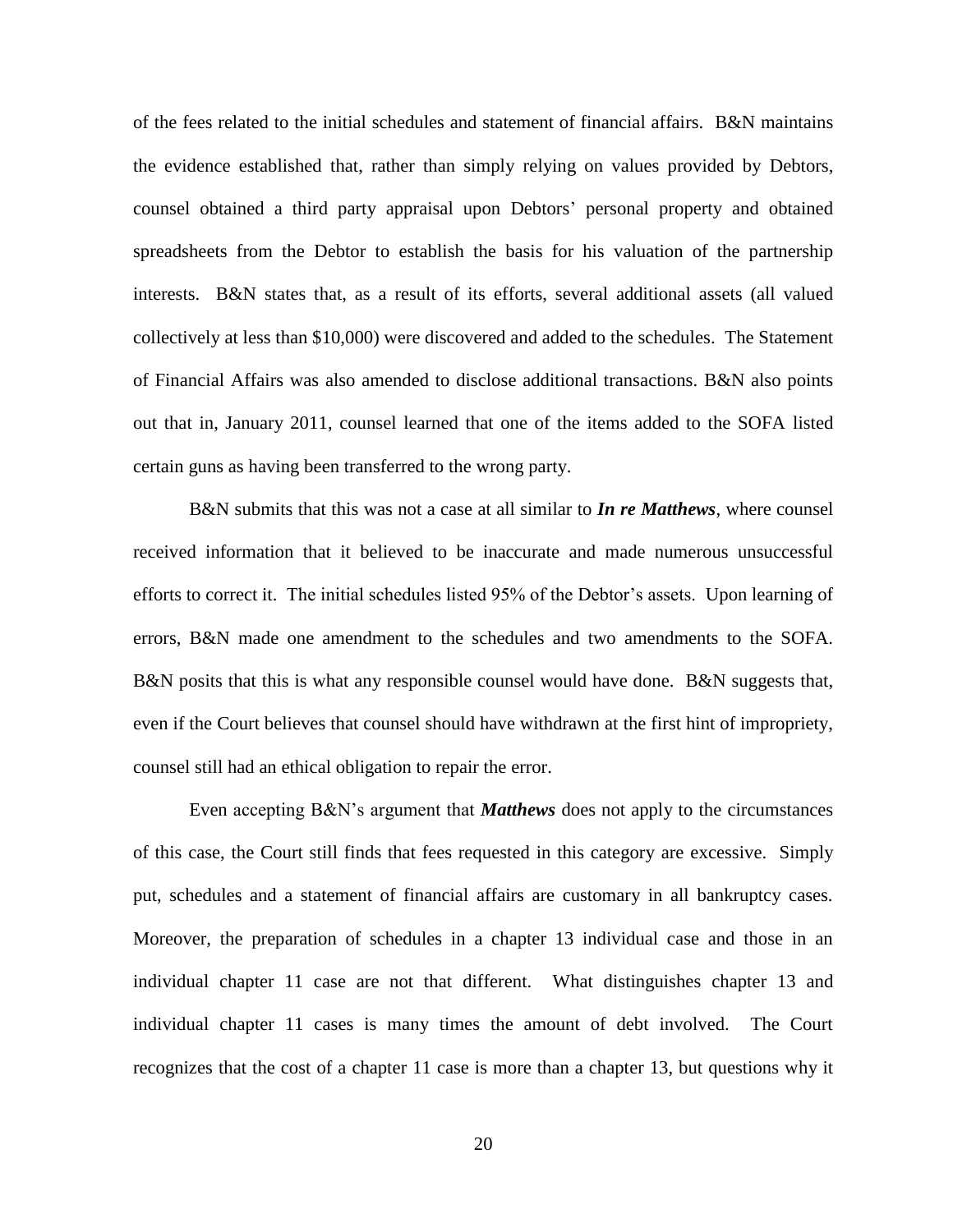of the fees related to the initial schedules and statement of financial affairs. B&N maintains the evidence established that, rather than simply relying on values provided by Debtors, counsel obtained a third party appraisal upon Debtors' personal property and obtained spreadsheets from the Debtor to establish the basis for his valuation of the partnership interests. B&N states that, as a result of its efforts, several additional assets (all valued collectively at less than \$10,000) were discovered and added to the schedules. The Statement of Financial Affairs was also amended to disclose additional transactions. B&N also points out that in, January 2011, counsel learned that one of the items added to the SOFA listed certain guns as having been transferred to the wrong party.

B&N submits that this was not a case at all similar to *In re Matthews*, where counsel received information that it believed to be inaccurate and made numerous unsuccessful efforts to correct it. The initial schedules listed 95% of the Debtor's assets. Upon learning of errors, B&N made one amendment to the schedules and two amendments to the SOFA. B&N posits that this is what any responsible counsel would have done. B&N suggests that, even if the Court believes that counsel should have withdrawn at the first hint of impropriety, counsel still had an ethical obligation to repair the error.

Even accepting B&N's argument that *Matthews* does not apply to the circumstances of this case, the Court still finds that fees requested in this category are excessive. Simply put, schedules and a statement of financial affairs are customary in all bankruptcy cases. Moreover, the preparation of schedules in a chapter 13 individual case and those in an individual chapter 11 case are not that different. What distinguishes chapter 13 and individual chapter 11 cases is many times the amount of debt involved. The Court recognizes that the cost of a chapter 11 case is more than a chapter 13, but questions why it